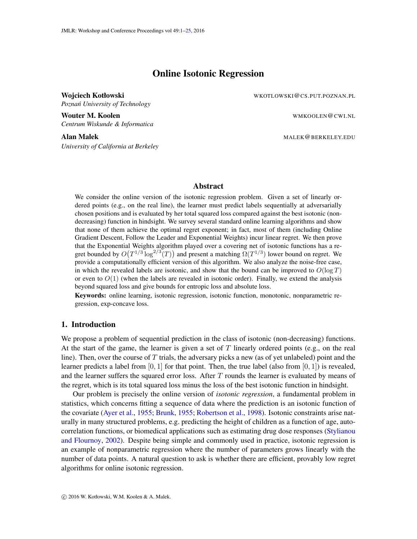# Online Isotonic Regression

<span id="page-0-0"></span>Wojciech Kotłowski konstantytowski w WKOTLOWSKI@CS.PUT.POZNAN.PL *Poznan University of Technology ´*

Wouter M. Koolen WAKOOLEN CONTROL CONTROL WARD WAN WAKOOLEN CONTROL

*Centrum Wiskunde & Informatica*

*University of California at Berkeley*

Alan Malek MALEK GERKELEY.EDU

# Abstract

We consider the online version of the isotonic regression problem. Given a set of linearly ordered points (e.g., on the real line), the learner must predict labels sequentially at adversarially chosen positions and is evaluated by her total squared loss compared against the best isotonic (nondecreasing) function in hindsight. We survey several standard online learning algorithms and show that none of them achieve the optimal regret exponent; in fact, most of them (including Online Gradient Descent, Follow the Leader and Exponential Weights) incur linear regret. We then prove that the Exponential Weights algorithm played over a covering net of isotonic functions has a regret bounded by  $O(T^{1/3} \log^{2/3}(T))$  and present a matching  $\Omega(T^{1/3})$  lower bound on regret. We provide a computationally efficient version of this algorithm. We also analyze the noise-free case, in which the revealed labels are isotonic, and show that the bound can be improved to  $O(\log T)$ or even to  $O(1)$  (when the labels are revealed in isotonic order). Finally, we extend the analysis beyond squared loss and give bounds for entropic loss and absolute loss.

Keywords: online learning, isotonic regression, isotonic function, monotonic, nonparametric regression, exp-concave loss.

## 1. Introduction

We propose a problem of sequential prediction in the class of isotonic (non-decreasing) functions. At the start of the game, the learner is given a set of  $T$  linearly ordered points (e.g., on the real line). Then, over the course of T trials, the adversary picks a new (as of yet unlabeled) point and the learner predicts a label from  $[0, 1]$  for that point. Then, the true label (also from  $[0, 1]$ ) is revealed, and the learner suffers the squared error loss. After  $T$  rounds the learner is evaluated by means of the regret, which is its total squared loss minus the loss of the best isotonic function in hindsight.

Our problem is precisely the online version of *isotonic regression*, a fundamental problem in statistics, which concerns fitting a sequence of data where the prediction is an isotonic function of the covariate [\(Ayer et al.,](#page-13-0) [1955;](#page-13-0) [Brunk,](#page-14-0) [1955;](#page-14-0) [Robertson et al.,](#page-15-0) [1998\)](#page-15-0). Isotonic constraints arise naturally in many structured problems, e.g. predicting the height of children as a function of age, autocorrelation functions, or biomedical applications such as estimating drug dose responses [\(Stylianou](#page-15-1) [and Flournoy,](#page-15-1) [2002\)](#page-15-1). Despite being simple and commonly used in practice, isotonic regression is an example of nonparametric regression where the number of parameters grows linearly with the number of data points. A natural question to ask is whether there are efficient, provably low regret algorithms for online isotonic regression.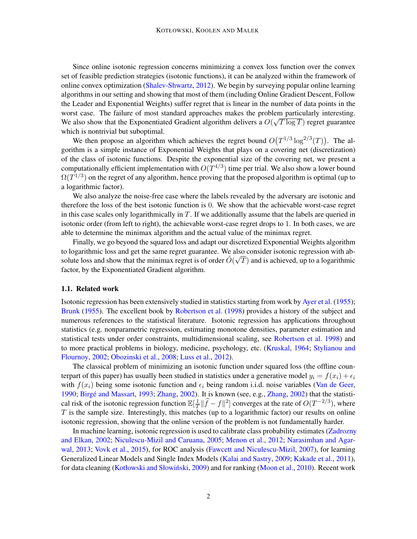Since online isotonic regression concerns minimizing a convex loss function over the convex set of feasible prediction strategies (isotonic functions), it can be analyzed within the framework of online convex optimization [\(Shalev-Shwartz,](#page-15-2) [2012\)](#page-15-2). We begin by surveying popular online learning algorithms in our setting and showing that most of them (including Online Gradient Descent, Follow the Leader and Exponential Weights) suffer regret that is linear in the number of data points in the worst case. The failure of most standard approaches makes the problem particularly interesting. We also show that the Exponentiated Gradient algorithm delivers a  $O(\sqrt{T \log T})$  regret guarantee which is nontrivial but suboptimal.

We then propose an algorithm which achieves the regret bound  $O(T^{1/3} \log^{2/3}(T))$ . The algorithm is a simple instance of Exponential Weights that plays on a covering net (discretization) of the class of isotonic functions. Despite the exponential size of the covering net, we present a computationally efficient implementation with  $O(T^{4/3})$  time per trial. We also show a lower bound  $\Omega(T^{1/3})$  on the regret of any algorithm, hence proving that the proposed algorithm is optimal (up to a logarithmic factor).

We also analyze the noise-free case where the labels revealed by the adversary are isotonic and therefore the loss of the best isotonic function is 0. We show that the achievable worst-case regret in this case scales only logarithmically in  $T$ . If we additionally assume that the labels are queried in isotonic order (from left to right), the achievable worst-case regret drops to 1. In both cases, we are able to determine the minimax algorithm and the actual value of the minimax regret.

Finally, we go beyond the squared loss and adapt our discretized Exponential Weights algorithm to logarithmic loss and get the same regret guarantee. We also consider isotonic regression with absolute loss and show that the minimax regret is of order  $\tilde{O}(\sqrt{T})$  and is achieved, up to a logarithmic factor, by the Exponentiated Gradient algorithm.

#### 1.1. Related work

Isotonic regression has been extensively studied in statistics starting from work by [Ayer et al.](#page-13-0) [\(1955\)](#page-13-0); [Brunk](#page-14-0) [\(1955\)](#page-14-0). The excellent book by [Robertson et al.](#page-15-0) [\(1998\)](#page-15-0) provides a history of the subject and numerous references to the statistical literature. Isotonic regression has applications throughout statistics (e.g. nonparametric regression, estimating monotone densities, parameter estimation and statistical tests under order constraints, multidimensional scaling, see [Robertson et al.](#page-15-0) [1998\)](#page-15-0) and to more practical problems in biology, medicine, psychology, etc. [\(Kruskal,](#page-14-1) [1964;](#page-14-1) [Stylianou and](#page-15-1) [Flournoy,](#page-15-1) [2002;](#page-15-1) [Obozinski et al.,](#page-15-3) [2008;](#page-15-3) [Luss et al.,](#page-15-4) [2012\)](#page-15-4).

The classical problem of minimizing an isotonic function under squared loss (the offline counterpart of this paper) has usually been studied in statistics under a generative model  $y_i = f(x_i) + \epsilon_i$ with  $f(x_i)$  being some isotonic function and  $\epsilon_i$  being random i.i.d. noise variables [\(Van de Geer,](#page-14-2) [1990;](#page-14-2) Birgé and Massart, [1993;](#page-14-3) [Zhang,](#page-15-5) [2002\)](#page-15-5). It is known (see, e.g., Zhang, 2002) that the statistical risk of the isotonic regression function  $\mathbb{E}[\frac{1}{T}]$  $\frac{1}{T} \|\hat{f} - f\|^2$  converges at the rate of  $O(T^{-2/3})$ , where  $T$  is the sample size. Interestingly, this matches (up to a logarithmic factor) our results on online isotonic regression, showing that the online version of the problem is not fundamentally harder.

In machine learning, isotonic regression is used to calibrate class probability estimates [\(Zadrozny](#page-15-6) [and Elkan,](#page-15-6) [2002;](#page-15-6) [Niculescu-Mizil and Caruana,](#page-15-7) [2005;](#page-15-7) [Menon et al.,](#page-15-8) [2012;](#page-15-8) [Narasimhan and Agar](#page-15-9)[wal,](#page-15-9) [2013;](#page-15-9) [Vovk et al.,](#page-15-10) [2015\)](#page-15-10), for ROC analysis [\(Fawcett and Niculescu-Mizil,](#page-14-4) [2007\)](#page-14-4), for learning Generalized Linear Models and Single Index Models [\(Kalai and Sastry,](#page-14-5) [2009;](#page-14-5) [Kakade et al.,](#page-14-6) [2011\)](#page-14-6), for data cleaning (Kotłowski and Słowiński, [2009\)](#page-14-7) and for ranking [\(Moon et al.,](#page-15-11) [2010\)](#page-15-11). Recent work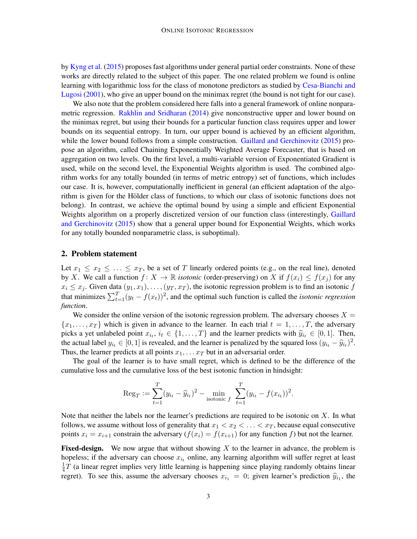by [Kyng et al.](#page-14-8) [\(2015\)](#page-14-8) proposes fast algorithms under general partial order constraints. None of these works are directly related to the subject of this paper. The one related problem we found is online learning with logarithmic loss for the class of monotone predictors as studied by [Cesa-Bianchi and](#page-14-9) [Lugosi](#page-14-9) [\(2001\)](#page-14-9), who give an upper bound on the minimax regret (the bound is not tight for our case).

We also note that the problem considered here falls into a general framework of online nonparametric regression. [Rakhlin and Sridharan](#page-15-12) [\(2014\)](#page-15-12) give nonconstructive upper and lower bound on the minimax regret, but using their bounds for a particular function class requires upper and lower bounds on its sequential entropy. In turn, our upper bound is achieved by an efficient algorithm, while the lower bound follows from a simple construction. [Gaillard and Gerchinovitz](#page-14-10) [\(2015\)](#page-14-10) propose an algorithm, called Chaining Exponentially Weighted Average Forecaster, that is based on aggregation on two levels. On the first level, a multi-variable version of Exponentiated Gradient is used, while on the second level, the Exponential Weights algorithm is used. The combined algorithm works for any totally bounded (in terms of metric entropy) set of functions, which includes our case. It is, however, computationally inefficient in general (an efficient adaptation of the algorithm is given for the Hölder class of functions, to which our class of isotonic functions does not belong). In contrast, we achieve the optimal bound by using a simple and efficient Exponential Weights algorithm on a properly discretized version of our function class (interestingly, [Gaillard](#page-14-10) [and Gerchinovitz](#page-14-10) [\(2015\)](#page-14-10) show that a general upper bound for Exponential Weights, which works for any totally bounded nonparametric class, is suboptimal).

#### <span id="page-2-0"></span>2. Problem statement

Let  $x_1 \le x_2 \le \ldots \le x_T$ , be a set of T linearly ordered points (e.g., on the real line), denoted by X. We call a function  $f: X \to \mathbb{R}$  *isotonic* (order-preserving) on X if  $f(x_i) \leq f(x_i)$  for any  $x_i \leq x_j$ . Given data  $(y_1, x_1), \ldots, (y_T, x_T)$ , the isotonic regression problem is to find an isotonic f that minimizes  $\sum_{t=1}^{T} (y_t - f(x_t))^2$ , and the optimal such function is called the *isotonic regression function*.

We consider the online version of the isotonic regression problem. The adversary chooses  $X =$  ${x_1, \ldots, x_T}$  which is given in advance to the learner. In each trial  $t = 1, \ldots, T$ , the adversary picks a yet unlabeled point  $x_i, i_t \in \{1, ..., T\}$  and the learner predicts with  $\hat{y}_{i_t} \in [0, 1]$ . Then, the setting label  $y_i \in [0, 1]$  is revealed and the learner is populized by the setting lass  $(y_i, \hat{y}_i)^2$ the actual label  $y_{i_t} \in [0, 1]$  is revealed, and the learner is penalized by the squared loss  $(y_{i_t} - \hat{y}_{i_t})^2$ .<br>Thus, the learner prodicts at all points  $x_{i_t} = x_{i_t}$  but in an advance is alorged and points. Thus, the learner predicts at all points  $x_1, \ldots x_T$  but in an adversarial order.

The goal of the learner is to have small regret, which is defined to be the difference of the cumulative loss and the cumulative loss of the best isotonic function in hindsight:

$$
\text{Reg}_T := \sum_{t=1}^T (y_{i_t} - \widehat{y}_{i_t})^2 - \min_{\text{isotonic } f} \sum_{t=1}^T (y_{i_t} - f(x_{i_t}))^2.
$$

Note that neither the labels nor the learner's predictions are required to be isotonic on  $X$ . In what follows, we assume without loss of generality that  $x_1 < x_2 < \ldots < x_T$ , because equal consecutive points  $x_i = x_{i+1}$  constrain the adversary  $(f(x_i) = f(x_{i+1})$  for any function f) but not the learner.

**Fixed-design.** We now argue that without showing  $X$  to the learner in advance, the problem is hopeless; if the adversary can choose  $x_{i_t}$  online, any learning algorithm will suffer regret at least 1  $\frac{1}{4}T$  (a linear regret implies very little learning is happening since playing randomly obtains linear regret). To see this, assume the adversary chooses  $x_{i_1} = 0$ ; given learner's prediction  $\hat{y}_{i_1}$ , the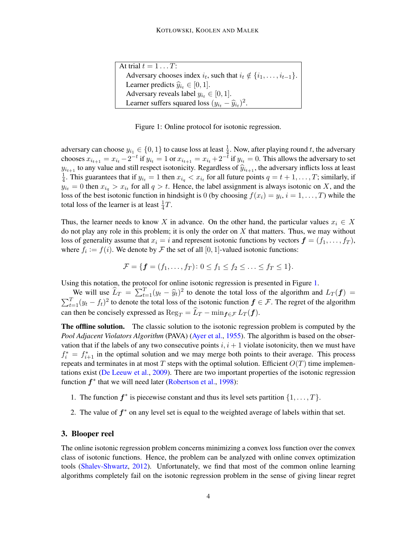| At trial $t = 1 \dots T$ :                                                       |
|----------------------------------------------------------------------------------|
| Adversary chooses index $i_t$ , such that $i_t \notin \{i_1, \ldots, i_{t-1}\}.$ |
| Learner predicts $\widehat{y}_{i_t} \in [0,1]$ .                                 |
| Adversary reveals label $y_{i_t} \in [0, 1]$ .                                   |
| Learner suffers squared loss $(y_{i_t} - \hat{y}_{i_t})^2$ .                     |
|                                                                                  |

<span id="page-3-0"></span>Figure 1: Online protocol for isotonic regression.

adversary can choose  $y_{i_1} \in \{0, 1\}$  to cause loss at least  $\frac{1}{4}$ . Now, after playing round t, the adversary chooses  $x_{i_{t+1}} = x_{i_t} - 2^{-t}$  if  $y_{i_t} = 1$  or  $x_{i_{t+1}} = x_{i_t} + 2^{-t}$  if  $y_{i_t} = 0$ . This allows the adversary to set  $y_{i_{t+1}}$  to any value and still respect isotonicity. Regardless of  $\hat{y}_{i_{t+1}}$ , the adversary inflicts loss at least 1  $\frac{1}{4}$ . This guarantees that if  $y_{i_t} = 1$  then  $x_{i_q} < x_{i_t}$  for all future points  $q = t + 1, \ldots, T$ ; similarly, if  $y_{i_t} = 0$  then  $x_{i_q} > x_{i_t}$  for all  $q > t$ . Hence, the label assignment is always isotonic on X, and the loss of the best isotonic function in hindsight is 0 (by choosing  $f(x_i) = y_i$ ,  $i = 1, ..., T$ ) while the total loss of the learner is at least  $\frac{1}{4}T$ .

Thus, the learner needs to know X in advance. On the other hand, the particular values  $x_i \in X$ do not play any role in this problem; it is only the order on  $X$  that matters. Thus, we may without loss of generality assume that  $x_i = i$  and represent isotonic functions by vectors  $\mathbf{f} = (f_1, \ldots, f_T)$ , where  $f_i := f(i)$ . We denote by  $\mathcal F$  the set of all  $[0, 1]$ -valued isotonic functions:

$$
\mathcal{F} = \{ \mathbf{f} = (f_1, \dots, f_T) \colon 0 \le f_1 \le f_2 \le \dots \le f_T \le 1 \}.
$$

Using this notation, the protocol for online isotonic regression is presented in Figure [1.](#page-3-0)

We will use  $\hat{L}_T = \sum_{t=1}^T (y_t - \hat{y}_t)^2$  to denote the total loss of the algorithm and  $L_T(f) =$  $\sum_{t=1}^{T} (y_t - f_t)^2$  to denote the total loss of the isotonic function  $f \in \mathcal{F}$ . The regret of the algorithm can then be concisely expressed as  $\text{Reg}_T = \widehat{L}_T - \min_{f \in \mathcal{F}} L_T (f)$ .

The offline solution. The classic solution to the isotonic regression problem is computed by the *Pool Adjacent Violators Algorithm* (PAVA) [\(Ayer et al.,](#page-13-0) [1955\)](#page-13-0). The algorithm is based on the observation that if the labels of any two consecutive points  $i, i + 1$  violate isotonicity, then we must have  $f_i^* = f_{i+1}^*$  in the optimal solution and we may merge both points to their average. This process repeats and terminates in at most  $T$  steps with the optimal solution. Efficient  $O(T)$  time implementations exist [\(De Leeuw et al.,](#page-14-11) [2009\)](#page-14-11). There are two important properties of the isotonic regression function  $f^*$  that we will need later [\(Robertson et al.,](#page-15-0) [1998\)](#page-15-0):

- 1. The function  $f^*$  is piecewise constant and thus its level sets partition  $\{1, \ldots, T\}$ .
- 2. The value of  $f^*$  on any level set is equal to the weighted average of labels within that set.

# <span id="page-3-1"></span>3. Blooper reel

The online isotonic regression problem concerns minimizing a convex loss function over the convex class of isotonic functions. Hence, the problem can be analyzed with online convex optimization tools [\(Shalev-Shwartz,](#page-15-2) [2012\)](#page-15-2). Unfortunately, we find that most of the common online learning algorithms completely fail on the isotonic regression problem in the sense of giving linear regret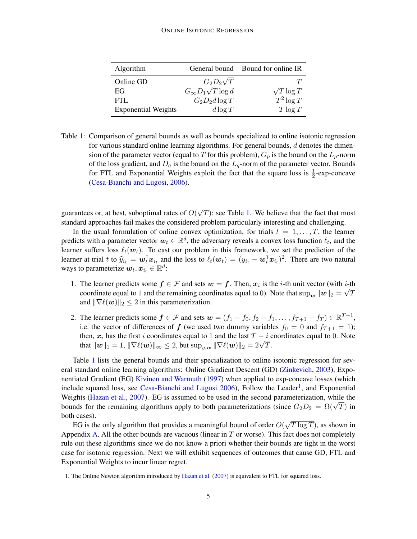| Algorithm                  |                               | General bound Bound for online IR |
|----------------------------|-------------------------------|-----------------------------------|
| Online GD                  | $G_2D_2\sqrt{T}$              |                                   |
| EG                         | $G_{\infty}D_1\sqrt{T\log d}$ | $\sqrt{T \log T}$                 |
| FTL.                       | $G_2D_2d\log T$               | $T^2 \log T$                      |
| <b>Exponential Weights</b> | $d \log T$                    | $T \log T$                        |

<span id="page-4-0"></span>Table 1: Comparison of general bounds as well as bounds specialized to online isotonic regression for various standard online learning algorithms. For general bounds,  $d$  denotes the dimension of the parameter vector (equal to T for this problem),  $G_p$  is the bound on the  $L_p$ -norm of the loss gradient, and  $D_q$  is the bound on the  $L_q$ -norm of the parameter vector. Bounds for FTL and Exponential Weights exploit the fact that the square loss is  $\frac{1}{2}$ -exp-concave [\(Cesa-Bianchi and Lugosi,](#page-14-12) [2006\)](#page-14-12).

guarantees or, at best, suboptimal rates of  $O($ √  $T$ ); see Table [1.](#page-4-0) We believe that the fact that most standard approaches fail makes the considered problem particularly interesting and challenging.

In the usual formulation of online convex optimization, for trials  $t = 1, \ldots, T$ , the learner predicts with a parameter vector  $w_t \in \mathbb{R}^d$ , the adversary reveals a convex loss function  $\ell_t$ , and the learner suffers loss  $\ell_t(\mathbf{w}_t)$ . To cast our problem in this framework, we set the prediction of the learner at trial t to  $\hat{y}_{i_t} = \boldsymbol{w}_t^{\text{T}} \boldsymbol{x}_{i_t}$  and the loss to  $\ell_t(\boldsymbol{w}_t) = (y_{i_t} - \boldsymbol{w}_t^{\text{T}} \boldsymbol{x}_{i_t})^2$ . There are two natural ways to parameterize  $\boldsymbol{w}_t, \boldsymbol{x}_{i_t} \in \mathbb{R}^d$ :

- 1. The learner predicts some  $f \in \mathcal{F}$  and sets  $w = f$ . Then,  $x_i$  is the *i*-th unit vector (with *i*-th coordinate equal to 1 and the remaining coordinates equal to 0). Note that  $\sup_{\bm{w}}\|\bm{w}\|_2=\sqrt{T}$ and  $\|\nabla \ell(\boldsymbol{w})\|_2 \leq 2$  in this parameterization.
- 2. The learner predicts some  $f \in \mathcal{F}$  and sets  $\mathbf{w} = (f_1 f_0, f_2 f_1, \dots, f_{T+1} f_T) \in \mathbb{R}^{T+1}$ , i.e. the vector of differences of  $f$  (we used two dummy variables  $f_0 = 0$  and  $f_{T+1} = 1$ ); then,  $x_i$  has the first i coordinates equal to 1 and the last  $T - i$  coordinates equal to 0. Note that  $\|\boldsymbol{w}\|_1 = 1$ ,  $\|\nabla \ell(\boldsymbol{w})\|_{\infty} \leq 2$ , but  $\sup_{y,\boldsymbol{w}} \|\nabla \ell(\boldsymbol{w})\|_2 = 2\sqrt{T}$ .

Table [1](#page-4-0) lists the general bounds and their specialization to online isotonic regression for several standard online learning algorithms: Online Gradient Descent (GD) [\(Zinkevich,](#page-15-13) [2003\)](#page-15-13), Exponentiated Gradient (EG) [Kivinen and Warmuth](#page-14-13) [\(1997\)](#page-14-13) when applied to exp-concave losses (which include squared loss, see [Cesa-Bianchi and Lugosi](#page-14-12) [2006\)](#page-14-12), Follow the Leader<sup>[1](#page-4-1)</sup>, and Exponential Weights [\(Hazan et al.,](#page-14-14) [2007\)](#page-14-14). EG is assumed to be used in the second parameterization, while the weights (Hazan et al., 2007). EG is assumed to be used in the second parameterization, while the bounds for the remaining algorithms apply to both parameterizations (since  $G_2D_2 = \Omega(\sqrt{T})$  in both cases). √

EG is the only algorithm that provides a meaningful bound of order  $O($  $(\overline{T \log T})$ , as shown in Appendix [A.](#page-16-0) All the other bounds are vacuous (linear in  $T$  or worse). This fact does not completely rule out these algorithms since we do not know a priori whether their bounds are tight in the worst case for isotonic regression. Next we will exhibit sequences of outcomes that cause GD, FTL and Exponential Weights to incur linear regret.

<span id="page-4-2"></span><span id="page-4-1"></span><sup>1.</sup> The Online Newton algorithm introduced by [Hazan et al.](#page-14-14) [\(2007\)](#page-14-14) is equivalent to FTL for squared loss.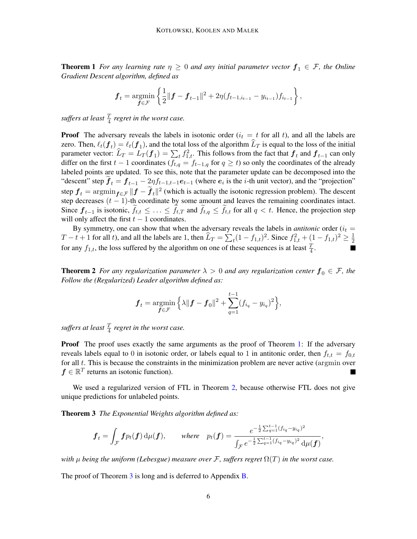**Theorem 1** *For any learning rate*  $\eta \geq 0$  *and any initial parameter vector*  $f_1 \in \mathcal{F}$ *, the Online Gradient Descent algorithm, defined as*

$$
\boldsymbol{f}_t = \operatorname*{argmin}_{\boldsymbol{f} \in \mathcal{F}} \left\{ \frac{1}{2} || \boldsymbol{f} - \boldsymbol{f}_{t-1} ||^2 + 2\eta (f_{t-1,i_{t-1}} - y_{i_{t-1}}) f_{i_{t-1}} \right\},\,
$$

suffers at least  $\frac{T}{4}$  regret in the worst case.

**Proof** The adversary reveals the labels in isotonic order  $(i_t = t$  for all t), and all the labels are zero. Then,  $\ell_t(f_t) = \ell_t(f_1)$ , and the total loss of the algorithm  $L_T$  is equal to the loss of the initial parameter vector:  $\hat{L}_T = L_T (f_1) = \sum_{t} f_{1,t}^2$ . This follows from the fact that  $f_t$  and  $f_{t-1}$  can only differ on the first  $t - 1$  coordinates ( $f_{t,q} = f_{t-1,q}$  for  $q \ge t$ ) so only the coordinates of the already labeled points are updated. To see this, note that the parameter update can be decomposed into the "descent" step  $f_t = f_{t-1} - 2\eta f_{t-1,t-1}e_{t-1}$  (where  $e_i$  is the *i*-th unit vector), and the "projection" step  $f_t = \arg\min_{f \in \mathcal{F}} \|f - \tilde{f}_t\|^2$  (which is actually the isotonic regression problem). The descent step decreases  $(t - 1)$ -th coordinate by some amount and leaves the remaining coordinates intact. Since  $f_{t-1}$  is isotonic,  $f_{t,t} \leq \ldots \leq f_{t,T}$  and  $f_{t,q} \leq f_{t,t}$  for all  $q < t$ . Hence, the projection step will only affect the first  $t - 1$  coordinates.

By symmetry, one can show that when the adversary reveals the labels in *antitonic* order  $(i_t =$  $T-t+1$  for all t), and all the labels are 1, then  $\widehat{L}_T = \sum_t (1-f_{1,t})^2$ . Since  $f_{1,t}^2 + (1-f_{1,t})^2 \ge \frac{1}{2}$  $\overline{2}$ for any  $f_{1,t}$ , the loss suffered by the algorithm on one of these sequences is at least  $\frac{T}{4}$ .

<span id="page-5-0"></span>**Theorem 2** For any regularization parameter  $\lambda > 0$  and any regularization center  $f_0 \in \mathcal{F}$ , the *Follow the (Regularized) Leader algorithm defined as:*

$$
\bm{f}_t = \underset{\bm{f} \in \mathcal{F}}{\text{argmin}} \left\{ \lambda ||\bm{f} - \bm{f}_0||^2 + \sum_{q=1}^{t-1} (f_{i_q} - y_{i_q})^2 \right\},\,
$$

suffers at least  $\frac{T}{4}$  regret in the worst case.

**Proof** The proof uses exactly the same arguments as the proof of Theorem [1:](#page-4-2) If the adversary reveals labels equal to 0 in isotonic order, or labels equal to 1 in antitonic order, then  $f_{t,t} = f_{0,t}$ for all  $t$ . This is because the constraints in the minimization problem are never active (argmin over  $f \in \mathbb{R}^T$  returns an isotonic function).

We used a regularized version of FTL in Theorem [2,](#page-5-0) because otherwise FTL does not give unique predictions for unlabeled points.

<span id="page-5-1"></span>Theorem 3 *The Exponential Weights algorithm defined as:*

$$
\boldsymbol{f}_t = \int_{\mathcal{F}} \boldsymbol{f} p_t(\boldsymbol{f}) \, \mathrm{d}\mu(\boldsymbol{f}), \qquad \text{where} \quad p_t(\boldsymbol{f}) = \frac{e^{-\frac{1}{2}\sum_{q=1}^{t-1}(f_{i_q} - y_{i_q})^2}}{\int_{\mathcal{F}} e^{-\frac{1}{2}\sum_{q=1}^{t-1}(f_{i_q} - y_{i_q})^2} \, \mathrm{d}\mu(\boldsymbol{f})},
$$

*with*  $\mu$  *being the uniform (Lebesgue) measure over*  $\mathcal{F}$ *, suffers regret*  $\Omega(T)$  *in the worst case.* 

The proof of Theorem [3](#page-5-1) is long and is deferred to Appendix [B.](#page-17-0)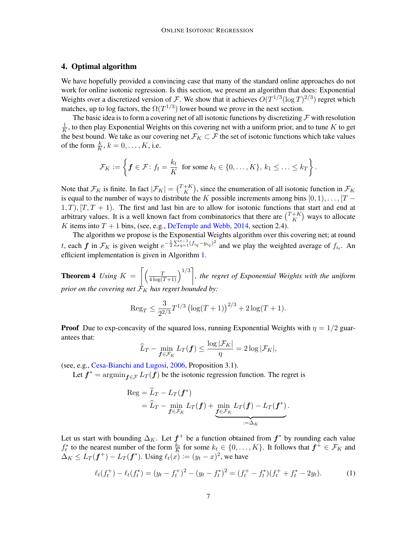# 4. Optimal algorithm

We have hopefully provided a convincing case that many of the standard online approaches do not work for online isotonic regression. Is this section, we present an algorithm that does: Exponential Weights over a discretized version of F. We show that it achieves  $O(T^{1/3}(\log T)^{2/3})$  regret which matches, up to log factors, the  $\Omega(T^{1/3})$  lower bound we prove in the next section.

The basic idea is to form a covering net of all isotonic functions by discretizing  $\mathcal F$  with resolution 1  $\frac{1}{K}$ , to then play Exponential Weights on this covering net with a uniform prior, and to tune K to get the best bound. We take as our covering net  $\mathcal{F}_K \subset \mathcal{F}$  the set of isotonic functions which take values of the form  $\frac{k}{K}$ ,  $k = 0, \dots, K$ , i.e.

$$
\mathcal{F}_K := \left\{ \boldsymbol{f} \in \mathcal{F} \colon f_t = \frac{k_t}{K} \text{ for some } k_t \in \{0, \ldots, K\}, k_1 \leq \ldots \leq k_T \right\}.
$$

Note that  $\mathcal{F}_K$  is finite. In fact  $|\mathcal{F}_K| = \binom{T+K}{K}$  $K_K^{+K}$ ), since the enumeration of all isotonic function in  $\mathcal{F}_K$ is equal to the number of ways to distribute the K possible increments among bins  $[0, 1), \ldots, [T 1, T$ ,  $[T, T + 1]$ . The first and last bin are to allow for isotonic functions that start and end at arbitrary values. It is a well known fact from combinatorics that there are  $\binom{T+K}{K}$  $K \choose K$  ways to allocate K items into  $T + 1$  bins, (see, e.g., [DeTemple and Webb,](#page-14-15) [2014,](#page-14-15) section 2.4).

The algorithm we propose is the Exponential Weights algorithm over this covering net; at round t, each  $f$  in  $\mathcal{F}_K$  is given weight  $e^{-\frac{1}{2}\sum_{q=1}^{t-1}(f_{iq}-y_{iq})^2}$  and we play the weighted average of  $f_{i_t}$ . An efficient implementation is given in Algorithm [1.](#page-8-0)

<span id="page-6-1"></span>**Theorem 4** Using  $K = \left[ \left( \frac{T}{4 \log(T+1)} \right)^{1/3} \right]$ , the regret of Exponential Weights with the uniform *prior on the covering net*  $\mathcal{F}_K$  *has regret bounded by:* 

$$
\operatorname{Reg}_T \le \frac{3}{2^{2/3}} T^{1/3} \left( \log(T+1) \right)^{2/3} + 2 \log(T+1).
$$

**Proof** Due to exp-concavity of the squared loss, running Exponential Weights with  $\eta = 1/2$  guarantees that:

$$
\widehat{L}_T - \min_{\bm{f}\in\mathcal{F}_K} L_T(\bm{f}) \le \frac{\log |\mathcal{F}_K|}{\eta} = 2\log |\mathcal{F}_K|,
$$

(see, e.g., [Cesa-Bianchi and Lugosi,](#page-14-12) [2006,](#page-14-12) Proposition 3.1).

Let  $f^* = \operatorname{argmin}_{f \in \mathcal{F}} L_T(f)$  be the isotonic regression function. The regret is

<span id="page-6-0"></span>
$$
\operatorname{Reg} = \widehat{L}_T - L_T(\boldsymbol{f}^*)
$$
  
=  $\widehat{L}_T - \min_{\boldsymbol{f} \in \mathcal{F}_K} L_T(\boldsymbol{f}) + \min_{\boldsymbol{f} \in \mathcal{F}_K} L_T(\boldsymbol{f}) - L_T(\boldsymbol{f}^*)$ .

Let us start with bounding  $\Delta_K$ . Let  $f^+$  be a function obtained from  $f^*$  by rounding each value  $f_t^*$  to the nearest number of the form  $\frac{k_t}{K}$  for some  $k_t \in \{0, \ldots, K\}$ . It follows that  $f^+ \in \mathcal{F}_K$  and  $\Delta_K \leq L_T(\boldsymbol{f}^+) - L_T(\boldsymbol{f}^*)$ . Using  $\ell_t(x) := (y_t - x)^2$ , we have

$$
\ell_t(f_t^+) - \ell_t(f_t^*) = (y_t - f_t^+)^2 - (y_t - f_t^*)^2 = (f_t^+ - f_t^*)(f_t^+ + f_t^* - 2y_t). \tag{1}
$$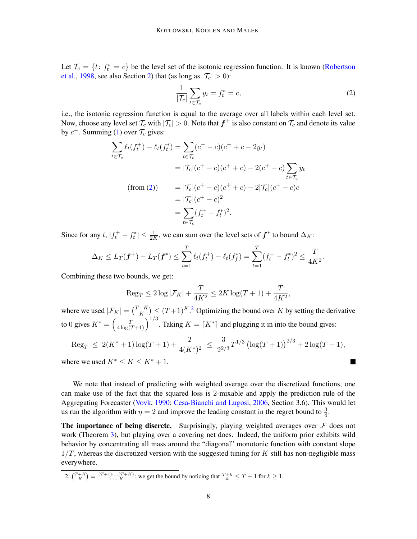Let  $\mathcal{T}_c = \{t : f_t^* = c\}$  be the level set of the isotonic regression function. It is known [\(Robertson](#page-15-0) [et al.,](#page-15-0) [1998,](#page-15-0) see also Section [2\)](#page-2-0) that (as long as  $|\mathcal{T}_c| > 0$ ):

<span id="page-7-0"></span>
$$
\frac{1}{|\mathcal{T}_c|} \sum_{t \in \mathcal{T}_c} y_t = f_t^* = c,\tag{2}
$$

**T** 

i.e., the isotonic regression function is equal to the average over all labels within each level set. Now, choose any level set  $\mathcal{T}_c$  with  $|\mathcal{T}_c|>0.$  Note that  $\bm{f}^+$  is also constant on  $\mathcal{T}_c$  and denote its value by  $c^+$ . Summing [\(1\)](#page-6-0) over  $\mathcal{T}_c$  gives:

$$
\sum_{t \in \mathcal{T}_c} \ell_t(f_t^+) - \ell_t(f_t^*) = \sum_{t \in \mathcal{T}_c} (c^+ - c)(c^+ + c - 2y_t)
$$
  
=  $|\mathcal{T}_c|(c^+ - c)(c^+ + c) - 2(c^+ - c) \sum_{t \in \mathcal{T}_c} y_t$   
(from (2))  $= |\mathcal{T}_c|(c^+ - c)(c^+ + c) - 2|\mathcal{T}_c|(c^+ - c)c$   
=  $|\mathcal{T}_c|(c^+ - c)^2$   
=  $\sum_{t \in \mathcal{T}_c} (f_t^+ - f_t^*)^2$ .

Since for any  $t$ ,  $|f_t^+ - f_t^*| \le \frac{1}{2K}$ , we can sum over the level sets of  $f^*$  to bound  $\Delta_K$ :

$$
\Delta_K \leq L_T(\boldsymbol{f}^+) - L_T(\boldsymbol{f}^*) \leq \sum_{t=1}^T \ell_t(f_t^+) - \ell_t(f_f^*) = \sum_{t=1}^T (f_t^+ - f_t^*)^2 \leq \frac{T}{4K^2}.
$$

Combining these two bounds, we get:

$$
\text{Reg}_{T} \le 2\log|\mathcal{F}_K| + \frac{T}{4K^2} \le 2K\log(T+1) + \frac{T}{4K^2},
$$

where we used  $|\mathcal{F}_K| = \binom{T+K}{K}$  $K_K^{+K}$ )  $\leq (T+1)^K$ .<sup>[2](#page-7-1)</sup> Optimizing the bound over K by setting the derivative to 0 gives  $K^* = \left(\frac{T}{4 \log(T+1)}\right)^{1/3}$ . Taking  $K = \lceil K^* \rceil$  and plugging it in into the bound gives:

$$
\text{Reg}_T \ \leq \ 2(K^*+1)\log(T+1) + \frac{T}{4(K^*)^2} \ \leq \ \frac{3}{2^{2/3}}T^{1/3}\left(\log(T+1)\right)^{2/3} + 2\log(T+1),
$$

where we used  $K^* \leq K \leq K^* + 1$ .

We note that instead of predicting with weighted average over the discretized functions, one can make use of the fact that the squared loss is 2-mixable and apply the prediction rule of the Aggregating Forecaster [\(Vovk,](#page-15-14) [1990;](#page-15-14) [Cesa-Bianchi and Lugosi,](#page-14-12) [2006,](#page-14-12) Section 3.6). This would let us run the algorithm with  $\eta = 2$  and improve the leading constant in the regret bound to  $\frac{3}{4}$ .

The importance of being discrete. Surprisingly, playing weighted averages over  $F$  does not work (Theorem [3\)](#page-5-1), but playing over a covering net does. Indeed, the uniform prior exhibits wild behavior by concentrating all mass around the "diagonal" monotonic function with constant slope  $1/T$ , whereas the discretized version with the suggested tuning for K still has non-negligible mass everywhere.

<span id="page-7-1"></span>2. 
$$
\binom{T+K}{K} = \frac{(T+1)\cdots(T+K)}{1\cdots K}
$$
; we get the bound by noticing that  $\frac{T+k}{k} \leq T+1$  for  $k \geq 1$ .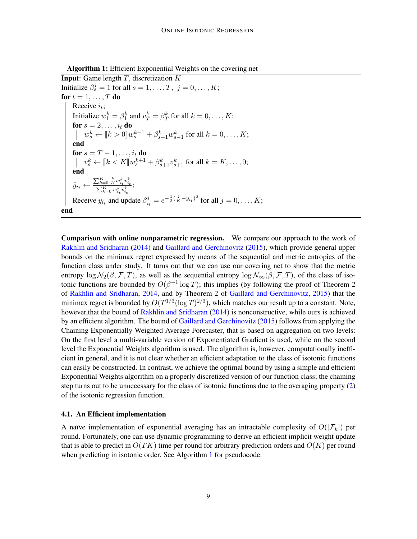Algorithm 1: Efficient Exponential Weights on the covering net

**Input:** Game length  $T$ , discretization  $K$ Initialize  $\beta_s^j = 1$  for all  $s = 1, \dots, T, j = 0, \dots, K;$ for  $t = 1, \ldots, T$  do Receive  $i_t$ ; Initialize  $w_1^k = \beta_1^k$  and  $v_T^k = \beta_T^k$  for all  $k = 0, \dots, K$ ; for  $s=2,\ldots,i_t$  do  $w_s^k \leftarrow [k > 0] w_s^{k-1} + \beta_{s-1}^k w_{s-1}^k$  for all  $k = 0, ..., K$ ; end for  $s=T-1,\ldots,i_t$  do  $v_s^k \leftarrow [k < K] w_s^{k+1} + \beta_{s+1}^k v_{s+1}^k$  for all  $k = K, \ldots, 0;$ end  $\hat{y}_{i_t} \leftarrow \frac{\sum_{k=0}^{K}\frac{k}{K}w_{i_t}^k v_{i_t}^k}{\sum_{k=0}^{K}w_{i_t}^k v_{i_t}^k};$  $i_t$ <sup> $\sigma_{i_t}$ </sup> Receive  $y_{i_t}$  and update  $\beta_{i_t}^j$  $i_t^j = e^{-\frac{1}{2}(\frac{j}{K}-y_{i_t})^2}$  for all  $j = 0, ..., K;$ end

Comparison with online nonparametric regression. We compare our approach to the work of [Rakhlin and Sridharan](#page-15-12) [\(2014\)](#page-15-12) and [Gaillard and Gerchinovitz](#page-14-10) [\(2015\)](#page-14-10), which provide general upper bounds on the minimax regret expressed by means of the sequential and metric entropies of the function class under study. It turns out that we can use our covering net to show that the metric entropy  $\log \mathcal{N}_2(\beta, \mathcal{F}, T)$ , as well as the sequential entropy  $\log \mathcal{N}_{\infty}(\beta, \mathcal{F}, T)$ , of the class of isotonic functions are bounded by  $O(\beta^{-1} \log T)$ ; this implies (by following the proof of Theorem 2 of [Rakhlin and Sridharan,](#page-15-12) [2014,](#page-15-12) and by Theorem 2 of [Gaillard and Gerchinovitz,](#page-14-10) [2015\)](#page-14-10) that the minimax regret is bounded by  $O(T^{1/3}(\log T)^{2/3})$ , which matches our result up to a constant. Note, however,that the bound of [Rakhlin and Sridharan](#page-15-12) [\(2014\)](#page-15-12) is nonconstructive, while ours is achieved by an efficient algorithm. The bound of [Gaillard and Gerchinovitz](#page-14-10) [\(2015\)](#page-14-10) follows from applying the Chaining Exponentially Weighted Average Forecaster, that is based on aggregation on two levels: On the first level a multi-variable version of Exponentiated Gradient is used, while on the second level the Exponential Weights algorithm is used. The algorithm is, however, computationally inefficient in general, and it is not clear whether an efficient adaptation to the class of isotonic functions can easily be constructed. In contrast, we achieve the optimal bound by using a simple and efficient Exponential Weights algorithm on a properly discretized version of our function class; the chaining step turns out to be unnecessary for the class of isotonic functions due to the averaging property [\(2\)](#page-7-0) of the isotonic regression function.

#### 4.1. An Efficient implementation

<span id="page-8-0"></span>A naïve implementation of exponential averaging has an intractable complexity of  $O(|\mathcal{F}_k|)$  per round. Fortunately, one can use dynamic programming to derive an efficient implicit weight update that is able to predict in  $O(TK)$  time per round for arbitrary prediction orders and  $O(K)$  per round when predicting in isotonic order. See Algorithm [1](#page-8-0) for pseudocode.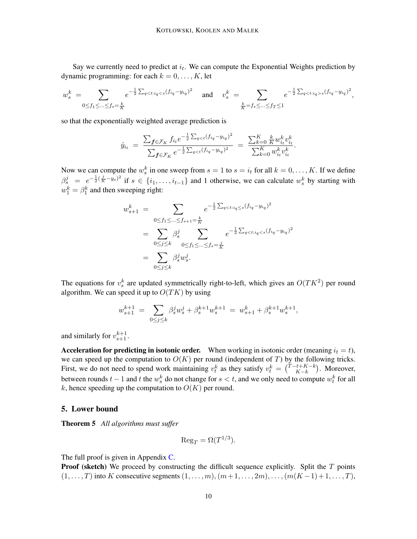Say we currently need to predict at  $i_t$ . We can compute the Exponential Weights prediction by dynamic programming: for each  $k = 0, \ldots, K$ , let

$$
w_s^k = \sum_{0 \le f_1 \le \dots \le f_s = \frac{k}{K}} e^{-\frac{1}{2} \sum_{q < t: i_q < s} (f_{i_q} - y_{i_q})^2} \quad \text{and} \quad v_s^k = \sum_{\frac{k}{K} = f_s \le \dots \le f_T \le 1} e^{-\frac{1}{2} \sum_{q < t: i_q > s} (f_{i_q} - y_{i_q})^2},
$$

so that the exponentially weighted average prediction is

$$
\hat{y}_{i_t} = \frac{\sum_{\mathbf{f} \in \mathcal{F}_K} f_{i_t} e^{-\frac{1}{2} \sum_{q < t} (f_{i_q} - y_{i_q})^2}}{\sum_{\mathbf{f} \in \mathcal{F}_K} e^{-\frac{1}{2} \sum_{q < t} (f_{i_q} - y_{i_q})^2}} = \frac{\sum_{k=0}^K \frac{k}{K} w_{i_t}^k v_{i_t}^k}{\sum_{k=0}^K w_{i_t}^k v_{i_t}^k}.
$$

Now we can compute the  $w_s^k$  in one sweep from  $s = 1$  to  $s = i_t$  for all  $k = 0, \ldots, K$ . If we define  $\beta_s^j = e^{-\frac{1}{2}(\frac{j}{K}-y_s)^2}$  if  $s \in \{i_1,\ldots,i_{t-1}\}\$  and 1 otherwise, we can calculate  $w_s^k$  by starting with  $w_1^k = \beta_1^k$  and then sweeping right:

$$
w_{s+1}^k = \sum_{0 \le f_1 \le \dots \le f_{s+1} = \frac{k}{K}} e^{-\frac{1}{2} \sum_{q < t: i_q \le s} (f_{i_q} - y_{i_q})^2}
$$
  
= 
$$
\sum_{0 \le j \le k} \beta_s^j \sum_{0 \le f_1 \le \dots \le f_s = \frac{j}{K}} e^{-\frac{1}{2} \sum_{q < ti_q < s} (f_{i_q} - y_{i_q})^2}
$$
  
= 
$$
\sum_{0 \le j \le k} \beta_s^j w_s^j.
$$

The equations for  $v_s^k$  are updated symmetrically right-to-left, which gives an  $O(TK^2)$  per round algorithm. We can speed it up to  $O(TK)$  by using

$$
w_{s+1}^{k+1} ~=~ \sum_{0\leq j\leq k}\beta_s^jw_s^j+\beta_s^{k+1}w_s^{k+1} ~=~ w_{s+1}^k+\beta_s^{k+1}w_s^{k+1},
$$

and similarly for  $v_{s+1}^{k+1}$ .

Acceleration for predicting in isotonic order. When working in isotonic order (meaning  $i_t = t$ ), we can speed up the computation to  $O(K)$  per round (independent of T) by the following tricks. First, we do not need to spend work maintaining  $v_t^k$  as they satisfy  $v_t^k = \binom{T-t+K-k}{K-k}$  $\binom{k+k-k}{k-k}$ . Moreover, between rounds  $t-1$  and  $t$  the  $w_s^k$  do not change for  $s < t$ , and we only need to compute  $w_t^k$  for all k, hence speeding up the computation to  $O(K)$  per round.

## 5. Lower bound

<span id="page-9-0"></span>Theorem 5 *All algorithms must suffer*

$$
\mathrm{Reg}_T = \Omega(T^{1/3}).
$$

The full proof is given in Appendix [C.](#page-19-0)

**Proof (sketch)** We proceed by constructing the difficult sequence explicitly. Split the  $T$  points  $(1, \ldots, T)$  into K consecutive segments  $(1, \ldots, m), (m+1, \ldots, 2m), \ldots, (m(K-1)+1, \ldots, T)$ ,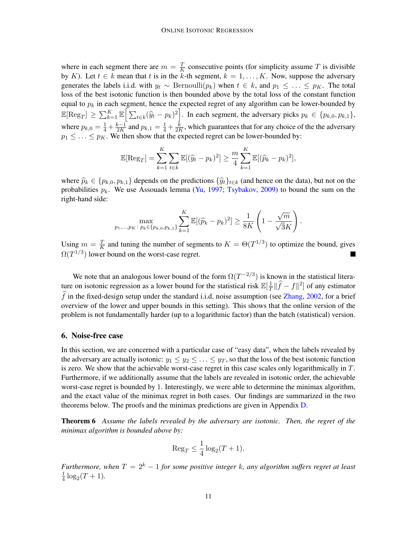where in each segment there are  $m = \frac{T}{k}$  $\frac{T}{K}$  consecutive points (for simplicity assume T is divisible by K). Let  $t \in k$  mean that t is in the k-th segment,  $k = 1, \ldots, K$ . Now, suppose the adversary generates the labels i.i.d. with  $y_t \sim \text{Bernoulli}(p_k)$  when  $t \in k$ , and  $p_1 \leq \ldots \leq p_K$ . The total loss of the best isotonic function is then bounded above by the total loss of the constant function equal to  $p_k$  in each segment, hence the expected regret of any algorithm can be lower-bounded by  $\mathbb{E}[\text{Reg}_T] \geq \sum_{k=1}^K \mathbb{E} \Big[ \sum_{t \in k} (\widehat{y}_t - p_k)^2 \Big].$  In each segment, the adversary picks  $p_k \in \{p_{k,0}, p_{k,1}\},$ where  $p_{k,0} = \frac{1}{4} + \frac{k-1}{2K}$  $\frac{k-1}{2K}$  and  $p_{k,1} = \frac{1}{4} + \frac{k}{2F}$  $\frac{k}{2K}$ , which guarantees that for any choice of the the adversary  $p_1 \leq \ldots \leq p_K$ . We then show that the expected regret can be lower-bounded by:

$$
\mathbb{E}[\text{Reg}_T] = \sum_{k=1}^K \sum_{t \in k} \mathbb{E}[(\widehat{y}_t - p_k)^2] \ge \frac{m}{4} \sum_{k=1}^K \mathbb{E}[(\widehat{p}_k - p_k)^2],
$$

where  $\widehat{p}_k \in \{p_{k,0}, p_{k,1}\}\$  depends on the predictions  $\{\widehat{y}_t\}_{t\in k}$  (and hence on the data), but not on the probabilities  $p_k$ . We use Assouads lemma [\(Yu,](#page-15-15) [1997;](#page-15-15) [Tsybakov,](#page-15-16) [2009\)](#page-15-16) to bound the sum on the right-hand side:

$$
\max_{p_1,\dots,p_K\colon p_k \in \{p_{k,0},p_{k,1}\}} \sum_{k=1}^K \mathbb{E}[(\widehat{p}_k - p_k)^2] \ge \frac{1}{8K} \left(1 - \frac{\sqrt{m}}{\sqrt{3}K}\right).
$$

Using  $m = \frac{T}{K}$  $\frac{T}{K}$  and tuning the number of segments to  $K = \Theta(T^{1/3})$  to optimize the bound, gives  $\Omega(T^{1/3})$  lower bound on the worst-case regret.  $\overline{\phantom{a}}$ 

We note that an analogous lower bound of the form  $\Omega(T^{-2/3})$  is known in the statistical literature on isotonic regression as a lower bound for the statistical risk  $\mathbb{E}[\frac{1}{T}]$  $\frac{1}{T} \|\widehat{f} - f\|^2$  of any estimator  $\hat{f}$  in the fixed-design setup under the standard i.i.d. noise assumption (see [Zhang,](#page-15-5) [2002,](#page-15-5) for a brief overview of the lower and upper bounds in this setting). This shows that the online version of the problem is not fundamentally harder (up to a logarithmic factor) than the batch (statistical) version.

## <span id="page-10-0"></span>6. Noise-free case

In this section, we are concerned with a particular case of "easy data", when the labels revealed by the adversary are actually isotonic:  $y_1 \le y_2 \le \ldots \le y_T$ , so that the loss of the best isotonic function is zero. We show that the achievable worst-case regret in this case scales only logarithmically in  $T$ . Furthermore, if we additionally assume that the labels are revealed in isotonic order, the achievable worst-case regret is bounded by 1. Interestingly, we were able to determine the minimax algorithm, and the exact value of the minimax regret in both cases. Our findings are summarized in the two theorems below. The proofs and the minimax predictions are given in Appendix [D.](#page-21-0)

<span id="page-10-1"></span>Theorem 6 *Assume the labels revealed by the adversary are isotonic. Then, the regret of the minimax algorithm is bounded above by:*

$$
\operatorname{Reg}_T \le \frac{1}{4} \log_2(T+1).
$$

<span id="page-10-2"></span>*Furthermore, when*  $T = 2<sup>k</sup> - 1$  *for some positive integer* k*, any algorithm suffers regret at least* 1  $\frac{1}{4} \log_2(T+1)$ .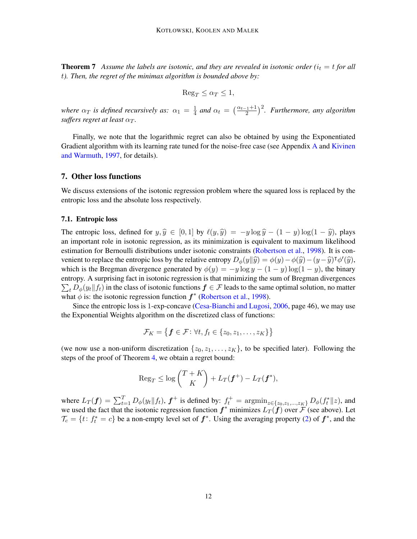**Theorem 7** Assume the labels are isotonic, and they are revealed in isotonic order ( $i_t = t$  for all t*). Then, the regret of the minimax algorithm is bounded above by:*

$$
\text{Reg}_T \le \alpha_T \le 1,
$$

*where*  $\alpha_T$  *is defined recursively as:*  $\alpha_1 = \frac{1}{4}$  $\frac{1}{4}$  and  $\alpha_t = \left(\frac{\alpha_{t-1}+1}{2}\right)^2$ . Furthermore, any algorithm *suffers regret at least*  $\alpha_T$ *.* 

Finally, we note that the logarithmic regret can also be obtained by using the Exponentiated Gradient algorithm with its learning rate tuned for the noise-free case (see [A](#page-16-0)ppendix A and [Kivinen](#page-14-13) [and Warmuth,](#page-14-13) [1997,](#page-14-13) for details).

# 7. Other loss functions

We discuss extensions of the isotonic regression problem where the squared loss is replaced by the entropic loss and the absolute loss respectively.

#### 7.1. Entropic loss

The entropic loss, defined for  $y, \hat{y} \in [0, 1]$  by  $\ell(y, \hat{y}) = -y \log \hat{y} - (1 - y) \log(1 - \hat{y})$ , plays an important role in isotonic regression, as its minimization is equivalent to maximum likelihood estimation for Bernoulli distributions under isotonic constraints [\(Robertson et al.,](#page-15-0) [1998\)](#page-15-0). It is convenient to replace the entropic loss by the relative entropy  $D_{\phi}(y||\hat{y}) = \phi(y) - \phi(\hat{y}) - (y - \hat{y})^{\dagger} \phi'(\hat{y})$ , which is the Bregman divergence generated by  $\phi(y) = -y \log y - (1 - y) \log(1 - y)$ , the binary entropy. A surprising fact in isotonic regression is that minimizing the sum of Bregman divergences  $\sum_{t} D_{\phi}(y_t || f_t)$  in the class of isotonic functions  $f \in \mathcal{F}$  leads to the same optimal solution, no matter what  $\phi$  is: the isotonic regression function  $f^*$  [\(Robertson et al.,](#page-15-0) [1998\)](#page-15-0).

Since the entropic loss is 1-exp-concave [\(Cesa-Bianchi and Lugosi,](#page-14-12) [2006,](#page-14-12) page 46), we may use the Exponential Weights algorithm on the discretized class of functions:

$$
\mathcal{F}_K = \big\{\boldsymbol{f} \in \mathcal{F} \colon \forall t, f_t \in \{z_0, z_1, \dots, z_K\}\big\}
$$

(we now use a non-uniform discretization  $\{z_0, z_1, \ldots, z_K\}$ , to be specified later). Following the steps of the proof of Theorem [4,](#page-6-1) we obtain a regret bound:

$$
\operatorname{Reg}_T \leq \log \binom{T+K}{K} + L_T(\boldsymbol{f}^+) - L_T(\boldsymbol{f}^*),
$$

where  $L_T(f) = \sum_{t=1}^T D_{\phi}(y_t || f_t)$ ,  $f^+$  is defined by:  $f_t^+ = \text{argmin}_{z \in \{z_0, z_1, ..., z_K\}} D_{\phi}(f_t^* || z)$ , and we used the fact that the isotonic regression function  $f^*$  minimizes  $L_T(f)$  over  $\mathcal{F}$  (see above). Let  $\mathcal{T}_c = \{t : f_t^* = c\}$  be a non-empty level set of  $f^*$ . Using the averaging property [\(2\)](#page-7-0) of  $f^*$ , and the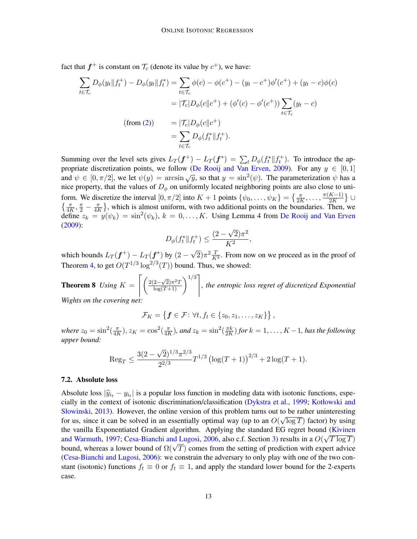fact that  $f^+$  is constant on  $\mathcal{T}_c$  (denote its value by  $c^+$ ), we have:

$$
\sum_{t \in \mathcal{T}_c} D_{\phi}(y_t \| f_t^+) - D_{\phi}(y_t \| f_t^*) = \sum_{t \in \mathcal{T}_c} \phi(c) - \phi(c^+) - (y_t - c^+) \phi'(c^+) + (y_t - c)\phi(c)
$$
  

$$
= |\mathcal{T}_c| D_{\phi}(c \| c^+) + (\phi'(c) - \phi'(c^+)) \sum_{t \in \mathcal{T}_c} (y_t - c)
$$
  
(from (2)) 
$$
= |\mathcal{T}_c| D_{\phi}(c \| c^+) = \sum_{t \in \mathcal{T}_c} D_{\phi}(f_t^* \| f_t^+).
$$

Summing over the level sets gives  $L_T(\mathbf{f}^+) - L_T(\mathbf{f}^*) = \sum_t D_{\phi}(f_t^* \| f_t^+)$ . To introduce the ap-propriate discretization points, we follow [\(De Rooij and Van Erven,](#page-15-17) [2009\)](#page-15-17). For any  $y \in [0,1]$ and  $\psi \in [0, \pi/2]$ , we let  $\psi(y) = \arcsin \sqrt{y}$ , so that  $y = \sin^2(\psi)$ . The parameterization  $\psi$  has a nice property, that the values of  $D_{\phi}$  on uniformly located neighboring points are also close to uniform. We discretize the interval  $[0, \pi/2]$  into  $K + 1$  points  $\{\psi_0, \ldots, \psi_K\} = \{\frac{\pi}{2K}, \ldots, \frac{\pi(K-1)}{2K}\}$  $\frac{K-1)}{2K}$   $\}$   $\cup$  $\left\{\frac{\pi}{4K},\frac{\pi}{2}-\frac{\pi}{4F}\right\}$  $\frac{\pi}{4K}$ , which is almost uniform, with two additional points on the boundaries. Then, we define  $z_k = y(\psi_k) = \sin^2(\psi_k)$ ,  $k = 0, \ldots, K$ . Using Lemma 4 from [De Rooij and Van Erven](#page-15-17) [\(2009\)](#page-15-17): √

$$
D_{\phi}(f_t^* \| f_t^+) \le \frac{(2 - \sqrt{2})\pi^2}{K^2},
$$

which bounds  $L_T(\boldsymbol{f}^+) - L_T(\boldsymbol{f}^*)$  by  $(2 \sqrt{2}$ ) $\pi^2 \frac{T}{K^2}$ . From now on we proceed as in the proof of Theorem [4,](#page-6-1) to get  $O(T^{1/3} \log^{2/3}(T))$  bound. Thus, we showed:

**Theorem 8** *Using*  $K = \left[ \left( \frac{2(2-\sqrt{2})\pi^2 T}{\log(T+1)} \right)^{1/3} \right]$ *, the entropic loss regret of discretized Exponential Wights on the covering net:*

$$
\mathcal{F}_K = \left\{ \boldsymbol{f} \in \mathcal{F} : \forall t, f_t \in \{z_0, z_1, \ldots, z_K\} \right\},\
$$

where  $z_0 = \sin^2(\frac{\pi}{4R})$  $\frac{\pi}{4K}$ ),  $z_K = \cos^2(\frac{\pi}{4R})$  $\frac{\pi}{4K}$ ), and  $z_k = \sin^2(\frac{\pi k}{2K})$  $\frac{\pi k}{2K}$ ) for  $k = 1, \ldots, K - 1$ , has the following *upper bound:*

$$
\operatorname{Reg}_{T} \le \frac{3(2-\sqrt{2})^{1/3}\pi^{2/3}}{2^{2/3}}T^{1/3}\left(\log(T+1)\right)^{2/3} + 2\log(T+1).
$$

### 7.2. Absolute loss

Absolute loss  $|\hat{y}_{i_t} - y_{i_t}|$  is a popular loss function in modeling data with isotonic functions, especially in the context of isotonic discrimination/elassification (Dykstra et al. 1000; Kotłowski and cially in the context of isotonic discrimination/classification [\(Dykstra et al.,](#page-14-16) [1999;](#page-14-16) [Kotłowski and](#page-14-17) [Słowinski,](#page-14-17) [2013\)](#page-14-17). However, the online version of this problem turns out to be rather uninteresting for us, since it can be solved in an essentially optimal way (up to an  $O(\sqrt{\log T})$  factor) by using the vanilla Exponentiated Gradient algorithm. Applying the standard EG regret bound [\(Kivinen](#page-14-13) [and Warmuth,](#page-14-13) [1997;](#page-14-13) [Cesa-Bianchi and Lugosi,](#page-14-12) [2006,](#page-14-12) also c.f. Section [3\)](#page-3-1) results in a  $O(\sqrt{T \log T})$ and warmuth, 1997; Cesa-Bianchi and Lugosi, 2006, also c.i. Section 3) results in a  $O(\sqrt{I} \log I)$ <br>bound, whereas a lower bound of  $\Omega(\sqrt{T})$  comes from the setting of prediction with expert advice [\(Cesa-Bianchi and Lugosi,](#page-14-12) [2006\)](#page-14-12): we constrain the adversary to only play with one of the two constant (isotonic) functions  $f_t \equiv 0$  or  $f_t \equiv 1$ , and apply the standard lower bound for the 2-experts case.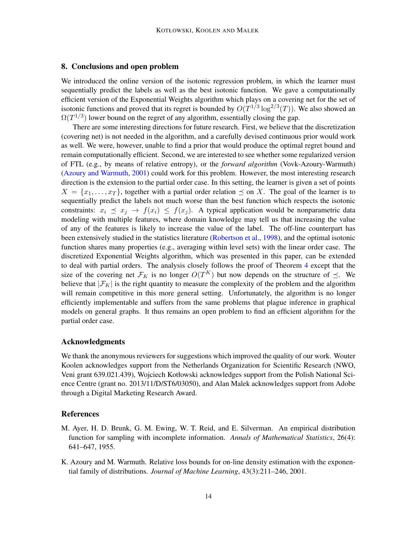# 8. Conclusions and open problem

We introduced the online version of the isotonic regression problem, in which the learner must sequentially predict the labels as well as the best isotonic function. We gave a computationally efficient version of the Exponential Weights algorithm which plays on a covering net for the set of isotonic functions and proved that its regret is bounded by  $O(T^{1/3} \log^{2/3}(T))$ . We also showed an  $\Omega(T^{1/3})$  lower bound on the regret of any algorithm, essentially closing the gap.

There are some interesting directions for future research. First, we believe that the discretization (covering net) is not needed in the algorithm, and a carefully devised continuous prior would work as well. We were, however, unable to find a prior that would produce the optimal regret bound and remain computationally efficient. Second, we are interested to see whether some regularized version of FTL (e.g., by means of relative entropy), or the *forward algorithm* (Vovk-Azoury-Warmuth) [\(Azoury and Warmuth,](#page-13-1) [2001\)](#page-13-1) could work for this problem. However, the most interesting research direction is the extension to the partial order case. In this setting, the learner is given a set of points  $X = \{x_1, \ldots, x_T\}$ , together with a partial order relation  $\prec$  on X. The goal of the learner is to sequentially predict the labels not much worse than the best function which respects the isotonic constraints:  $x_i \preceq x_j \rightarrow f(x_i) \preceq f(x_j)$ . A typical application would be nonparametric data modeling with multiple features, where domain knowledge may tell us that increasing the value of any of the features is likely to increase the value of the label. The off-line counterpart has been extensively studied in the statistics literature [\(Robertson et al.,](#page-15-0) [1998\)](#page-15-0), and the optimal isotonic function shares many properties (e.g., averaging within level sets) with the linear order case. The discretized Exponential Weights algorithm, which was presented in this paper, can be extended to deal with partial orders. The analysis closely follows the proof of Theorem [4](#page-6-1) except that the size of the covering net  $\mathcal{F}_K$  is no longer  $O(T^K)$  but now depends on the structure of  $\preceq$ . We believe that  $|\mathcal{F}_K|$  is the right quantity to measure the complexity of the problem and the algorithm will remain competitive in this more general setting. Unfortunately, the algorithm is no longer efficiently implementable and suffers from the same problems that plague inference in graphical models on general graphs. It thus remains an open problem to find an efficient algorithm for the partial order case.

## Acknowledgments

We thank the anonymous reviewers for suggestions which improved the quality of our work. Wouter Koolen acknowledges support from the Netherlands Organization for Scientific Research (NWO, Veni grant 639.021.439), Wojciech Kotłowski acknowledges support from the Polish National Science Centre (grant no. 2013/11/D/ST6/03050), and Alan Malek acknowledges support from Adobe through a Digital Marketing Research Award.

## References

- <span id="page-13-0"></span>M. Ayer, H. D. Brunk, G. M. Ewing, W. T. Reid, and E. Silverman. An empirical distribution function for sampling with incomplete information. *Annals of Mathematical Statistics*, 26(4): 641–647, 1955.
- <span id="page-13-1"></span>K. Azoury and M. Warmuth. Relative loss bounds for on-line density estimation with the exponential family of distributions. *Journal of Machine Learning*, 43(3):211–246, 2001.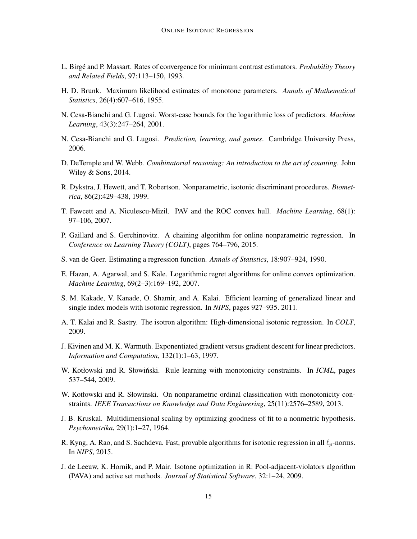- <span id="page-14-3"></span>L. Birge and P. Massart. Rates of convergence for minimum contrast estimators. ´ *Probability Theory and Related Fields*, 97:113–150, 1993.
- <span id="page-14-0"></span>H. D. Brunk. Maximum likelihood estimates of monotone parameters. *Annals of Mathematical Statistics*, 26(4):607–616, 1955.
- <span id="page-14-9"></span>N. Cesa-Bianchi and G. Lugosi. Worst-case bounds for the logarithmic loss of predictors. *Machine Learning*, 43(3):247–264, 2001.
- <span id="page-14-12"></span>N. Cesa-Bianchi and G. Lugosi. *Prediction, learning, and games*. Cambridge University Press, 2006.
- <span id="page-14-15"></span>D. DeTemple and W. Webb. *Combinatorial reasoning: An introduction to the art of counting*. John Wiley & Sons, 2014.
- <span id="page-14-16"></span>R. Dykstra, J. Hewett, and T. Robertson. Nonparametric, isotonic discriminant procedures. *Biometrica*, 86(2):429–438, 1999.
- <span id="page-14-4"></span>T. Fawcett and A. Niculescu-Mizil. PAV and the ROC convex hull. *Machine Learning*, 68(1): 97–106, 2007.
- <span id="page-14-10"></span>P. Gaillard and S. Gerchinovitz. A chaining algorithm for online nonparametric regression. In *Conference on Learning Theory (COLT)*, pages 764–796, 2015.
- <span id="page-14-2"></span>S. van de Geer. Estimating a regression function. *Annals of Statistics*, 18:907–924, 1990.
- <span id="page-14-14"></span>E. Hazan, A. Agarwal, and S. Kale. Logarithmic regret algorithms for online convex optimization. *Machine Learning*, 69(2–3):169–192, 2007.
- <span id="page-14-6"></span>S. M. Kakade, V. Kanade, O. Shamir, and A. Kalai. Efficient learning of generalized linear and single index models with isotonic regression. In *NIPS*, pages 927–935. 2011.
- <span id="page-14-5"></span>A. T. Kalai and R. Sastry. The isotron algorithm: High-dimensional isotonic regression. In *COLT*, 2009.
- <span id="page-14-13"></span>J. Kivinen and M. K. Warmuth. Exponentiated gradient versus gradient descent for linear predictors. *Information and Computation*, 132(1):1–63, 1997.
- <span id="page-14-7"></span>W. Kotłowski and R. Słowiński. Rule learning with monotonicity constraints. In *ICML*, pages 537–544, 2009.
- <span id="page-14-17"></span>W. Kotłowski and R. Słowinski. On nonparametric ordinal classification with monotonicity constraints. *IEEE Transactions on Knowledge and Data Engineering*, 25(11):2576–2589, 2013.
- <span id="page-14-1"></span>J. B. Kruskal. Multidimensional scaling by optimizing goodness of fit to a nonmetric hypothesis. *Psychometrika*, 29(1):1–27, 1964.
- <span id="page-14-8"></span>R. Kyng, A. Rao, and S. Sachdeva. Fast, provable algorithms for isotonic regression in all  $\ell_p$ -norms. In *NIPS*, 2015.
- <span id="page-14-11"></span>J. de Leeuw, K. Hornik, and P. Mair. Isotone optimization in R: Pool-adjacent-violators algorithm (PAVA) and active set methods. *Journal of Statistical Software*, 32:1–24, 2009.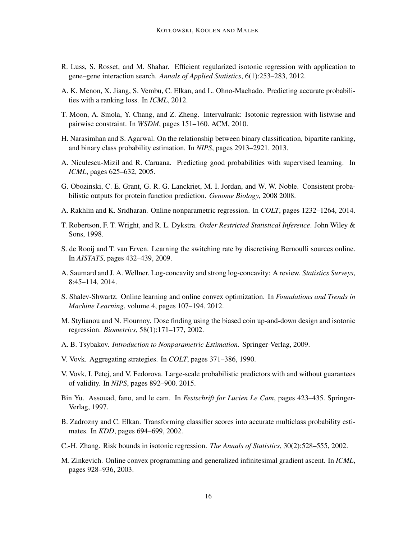- <span id="page-15-4"></span>R. Luss, S. Rosset, and M. Shahar. Efficient regularized isotonic regression with application to gene–gene interaction search. *Annals of Applied Statistics*, 6(1):253–283, 2012.
- <span id="page-15-8"></span>A. K. Menon, X. Jiang, S. Vembu, C. Elkan, and L. Ohno-Machado. Predicting accurate probabilities with a ranking loss. In *ICML*, 2012.
- <span id="page-15-11"></span>T. Moon, A. Smola, Y. Chang, and Z. Zheng. Intervalrank: Isotonic regression with listwise and pairwise constraint. In *WSDM*, pages 151–160. ACM, 2010.
- <span id="page-15-9"></span>H. Narasimhan and S. Agarwal. On the relationship between binary classification, bipartite ranking, and binary class probability estimation. In *NIPS*, pages 2913–2921. 2013.
- <span id="page-15-7"></span>A. Niculescu-Mizil and R. Caruana. Predicting good probabilities with supervised learning. In *ICML*, pages 625–632, 2005.
- <span id="page-15-3"></span>G. Obozinski, C. E. Grant, G. R. G. Lanckriet, M. I. Jordan, and W. W. Noble. Consistent probabilistic outputs for protein function prediction. *Genome Biology*, 2008 2008.
- <span id="page-15-12"></span>A. Rakhlin and K. Sridharan. Online nonparametric regression. In *COLT*, pages 1232–1264, 2014.
- <span id="page-15-0"></span>T. Robertson, F. T. Wright, and R. L. Dykstra. *Order Restricted Statistical Inference*. John Wiley & Sons, 1998.
- <span id="page-15-17"></span>S. de Rooij and T. van Erven. Learning the switching rate by discretising Bernoulli sources online. In *AISTATS*, pages 432–439, 2009.
- <span id="page-15-18"></span>A. Saumard and J. A. Wellner. Log-concavity and strong log-concavity: A review. *Statistics Surveys*, 8:45–114, 2014.
- <span id="page-15-2"></span>S. Shalev-Shwartz. Online learning and online convex optimization. In *Foundations and Trends in Machine Learning*, volume 4, pages 107–194. 2012.
- <span id="page-15-1"></span>M. Stylianou and N. Flournoy. Dose finding using the biased coin up-and-down design and isotonic regression. *Biometrics*, 58(1):171–177, 2002.
- <span id="page-15-16"></span>A. B. Tsybakov. *Introduction to Nonparametric Estimation*. Springer-Verlag, 2009.
- <span id="page-15-14"></span>V. Vovk. Aggregating strategies. In *COLT*, pages 371–386, 1990.
- <span id="page-15-10"></span>V. Vovk, I. Petej, and V. Fedorova. Large-scale probabilistic predictors with and without guarantees of validity. In *NIPS*, pages 892–900. 2015.
- <span id="page-15-15"></span>Bin Yu. Assouad, fano, and le cam. In *Festschrift for Lucien Le Cam*, pages 423–435. Springer-Verlag, 1997.
- <span id="page-15-6"></span>B. Zadrozny and C. Elkan. Transforming classifier scores into accurate multiclass probability estimates. In *KDD*, pages 694–699, 2002.
- <span id="page-15-5"></span>C.-H. Zhang. Risk bounds in isotonic regression. *The Annals of Statistics*, 30(2):528–555, 2002.
- <span id="page-15-13"></span>M. Zinkevich. Online convex programming and generalized infinitesimal gradient ascent. In *ICML*, pages 928–936, 2003.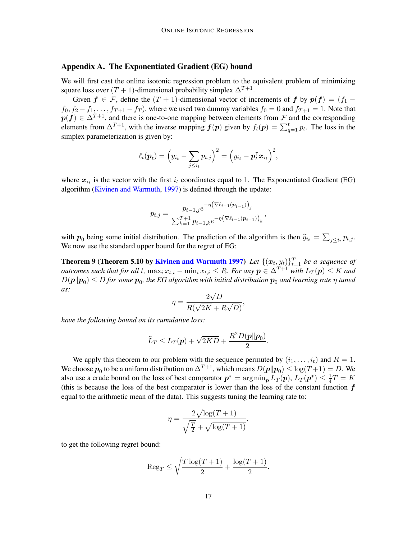## <span id="page-16-0"></span>Appendix A. The Exponentiated Gradient (EG) bound

We will first cast the online isotonic regression problem to the equivalent problem of minimizing square loss over  $(T + 1)$ -dimensional probability simplex  $\Delta^{T+1}$ .

Given  $f \in \mathcal{F}$ , define the  $(T + 1)$ -dimensional vector of increments of f by  $p(f) = (f_1 - f_2)$  $f_0, f_2 - f_1, \ldots, f_{T+1} - f_T$ , where we used two dummy variables  $f_0 = 0$  and  $f_{T+1} = 1$ . Note that  $p(f) \in \Delta^{T+1}$ , and there is one-to-one mapping between elements from F and the corresponding elements from  $\Delta^{T+1}$ , with the inverse mapping  $f(p)$  given by  $f_t(p) = \sum_{q=1}^{t} p_t$ . The loss in the simplex parameterization is given by:

$$
\ell_t(\boldsymbol{p}_t) = \left(y_{i_t} - \sum_{j \leq i_t} p_{t,j}\right)^2 = \left(y_{i_t} - \boldsymbol{p}_t^{\mathsf{T}} \boldsymbol{x}_{i_t}\right)^2,
$$

where  $x_{i_t}$  is the vector with the first  $i_t$  coordinates equal to 1. The Exponentiated Gradient (EG) algorithm [\(Kivinen and Warmuth,](#page-14-13) [1997\)](#page-14-13) is defined through the update:

$$
p_{t,j} = \frac{p_{t-1,j}e^{-\eta(\nabla \ell_{t-1}(\boldsymbol{p}_{t-1}))_j}}{\sum_{k=1}^{T+1} p_{t-1,k}e^{-\eta(\nabla \ell_{t-1}(\boldsymbol{p}_{t-1}))_k}},
$$

with  $p_0$  being some initial distribution. The prediction of the algorithm is then  $\hat{y}_{i_t} = \sum_{j \leq i_t} p_{t,j}$ .<br>We now use the standard upper bound for the paret of EG: We now use the standard upper bound for the regret of EG:

**Theorem 9 (Theorem 5.10 by [Kivinen and Warmuth](#page-14-13) [1997\)](#page-14-13)** Let  $\{(\boldsymbol{x}_t, y_t)\}_{t=1}^T$  be a sequence of *outcomes such that for all t,*  $\max_i x_{t,i} - \min_i x_{t,i} \leq R$ *. For any*  $p \in \Delta^{T+1}$  *with*  $L_T(p) \leq K$  *and*  $D(\bm{p} \| \bm{p}_0) \leq D$  for some  $\bm{p}_0$ , the EG algorithm with initial distribution  $\bm{p}_0$  and learning rate  $\eta$  tuned *as:* √

$$
\eta = \frac{2\sqrt{D}}{R(\sqrt{2K} + R\sqrt{D})},
$$

*have the following bound on its cumulative loss:*

$$
\widehat{L}_T \leq L_T(\boldsymbol{p}) + \sqrt{2KD} + \frac{R^2 D(\boldsymbol{p}||\boldsymbol{p}_0)}{2}.
$$

We apply this theorem to our problem with the sequence permuted by  $(i_1, \ldots, i_t)$  and  $R = 1$ . We choose  $p_0$  to be a uniform distribution on  $\Delta^{T+1}$ , which means  $D(\bm{p} \| \bm{p}_0) \leq \log(T+1) = D$ . We also use a crude bound on the loss of best comparator  $p^* = \arg\min_{p} L_T(p), L_T(p^*) \leq \frac{1}{4}$  $\frac{1}{4}T = K$ (this is because the loss of the best comparator is lower than the loss of the constant function  $f$ equal to the arithmetic mean of the data). This suggests tuning the learning rate to:

$$
\eta = \frac{2\sqrt{\log(T+1)}}{\sqrt{\frac{T}{2}} + \sqrt{\log(T+1)}},
$$

to get the following regret bound:

$$
\operatorname{Reg}_T \le \sqrt{\frac{T \log(T+1)}{2}} + \frac{\log(T+1)}{2}.
$$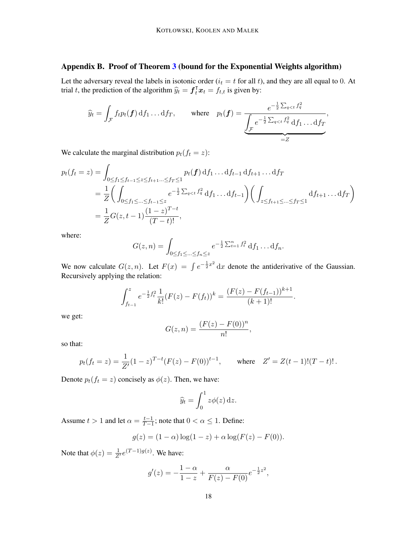# <span id="page-17-0"></span>Appendix B. Proof of Theorem [3](#page-5-1) (bound for the Exponential Weights algorithm)

Let the adversary reveal the labels in isotonic order  $(i<sub>t</sub> = t$  for all t), and they are all equal to 0. At trial t, the prediction of the algorithm  $\hat{y}_t = \mathbf{f}_t^{\mathsf{T}} \mathbf{x}_t = f_{t,t}$  is given by:

$$
\widehat{y}_t = \int_{\mathcal{F}} f_t p_t(\boldsymbol{f}) \, \mathrm{d} f_1 \dots \mathrm{d} f_T, \qquad \text{where} \quad p_t(\boldsymbol{f}) = \underbrace{\frac{e^{-\frac{1}{2} \sum_{q < t} f_q^2}}{\int_{\mathcal{F}} e^{-\frac{1}{2} \sum_{q < t} f_q^2} \, \mathrm{d} f_1 \dots \mathrm{d} f_T}}_{=Z},
$$

We calculate the marginal distribution  $p_t(f_t = z)$ :

$$
p_t(f_t = z) = \int_{0 \le f_1 \le f_{t-1} \le z \le f_{t+1} \dots \le f_T \le 1} p_t(f) df_1 \dots df_{t-1} df_{t+1} \dots df_T
$$
  
=  $\frac{1}{Z} \Biggl( \int_{0 \le f_1 \le \dots \le f_{t-1} \le z} e^{-\frac{1}{2} \sum_{q < t} f_q^2} df_1 \dots df_{t-1} \Biggr) \Biggl( \int_{z \le f_{t+1} \le \dots \le f_T \le 1} df_{t+1} \dots df_T \Biggr)$   
=  $\frac{1}{Z} G(z, t-1) \frac{(1-z)^{T-t}}{(T-t)!},$ 

where:

$$
G(z,n) = \int_{0 \le f_1 \le \dots \le f_n \le z} e^{-\frac{1}{2} \sum_{t=1}^n f_t^2} df_1 \dots df_n.
$$

We now calculate  $G(z, n)$ . Let  $F(x) = \int e^{-\frac{1}{2}x^2} dx$  denote the antiderivative of the Gaussian. Recursively applying the relation:

$$
\int_{f_{t-1}}^{z} e^{-\frac{1}{2}f_t^2} \frac{1}{k!} (F(z) - F(f_t))^k = \frac{(F(z) - F(f_{t-1}))^{k+1}}{(k+1)!}.
$$

we get:

$$
G(z, n) = \frac{(F(z) - F(0))^n}{n!},
$$

so that:

$$
p_t(f_t = z) = \frac{1}{Z'}(1-z)^{T-t}(F(z) - F(0))^{t-1}
$$
, where  $Z' = Z(t-1)!(T-t)!$ .

Denote  $p_t(f_t = z)$  concisely as  $\phi(z)$ . Then, we have:

$$
\widehat{y}_t = \int_0^1 z \phi(z) \,\mathrm{d}z.
$$

Assume  $t > 1$  and let  $\alpha = \frac{t-1}{T-1}$  $\frac{t-1}{T-1}$ ; note that  $0 < \alpha \leq 1$ . Define:

$$
g(z) = (1 - \alpha) \log(1 - z) + \alpha \log(F(z) - F(0)).
$$

Note that  $\phi(z) = \frac{1}{Z'} e^{(T-1)g(z)}$ . We have:

$$
g'(z) = -\frac{1-\alpha}{1-z} + \frac{\alpha}{F(z) - F(0)} e^{-\frac{1}{2}z^2},
$$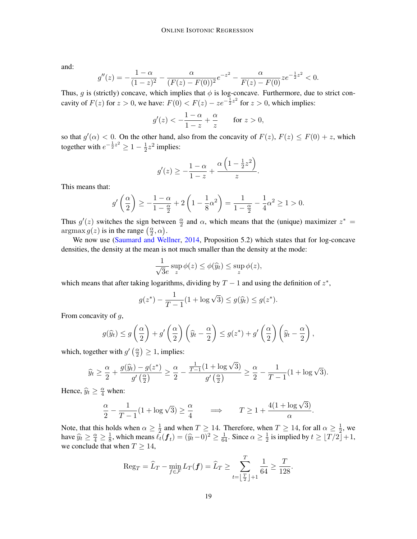and:

$$
g''(z) = -\frac{1-\alpha}{(1-z)^2} - \frac{\alpha}{(F(z) - F(0))^2} e^{-z^2} - \frac{\alpha}{F(z) - F(0)} z e^{-\frac{1}{2}z^2} < 0.
$$

Thus, g is (strictly) concave, which implies that  $\phi$  is log-concave. Furthermore, due to strict concavity of  $F(z)$  for  $z > 0$ , we have:  $F(0) < F(z) - z e^{-\frac{1}{2}z^2}$  for  $z > 0$ , which implies:

$$
g'(z) < -\frac{1-\alpha}{1-z} + \frac{\alpha}{z} \quad \text{for } z > 0,
$$

so that  $g'(\alpha) < 0$ . On the other hand, also from the concavity of  $F(z)$ ,  $F(z) \leq F(0) + z$ , which together with  $e^{-\frac{1}{2}z^2} \geq 1 - \frac{1}{2}$  $\frac{1}{2}z^2$  implies:

$$
g'(z) \ge -\frac{1-\alpha}{1-z} + \frac{\alpha\left(1-\frac{1}{2}z^2\right)}{z}.
$$

This means that:

$$
g'\left(\frac{\alpha}{2}\right) \ge -\frac{1-\alpha}{1-\frac{\alpha}{2}} + 2\left(1 - \frac{1}{8}\alpha^2\right) = \frac{1}{1-\frac{\alpha}{2}} - \frac{1}{4}\alpha^2 \ge 1 > 0.
$$

Thus  $g'(z)$  switches the sign between  $\frac{\alpha}{2}$  and  $\alpha$ , which means that the (unique) maximizer  $z^* =$  $argmax g(z)$  is in the range  $\left(\frac{\alpha}{2}\right)$  $\frac{\alpha}{2}, \alpha$ ).

We now use [\(Saumard and Wellner,](#page-15-18) [2014,](#page-15-18) Proposition 5.2) which states that for log-concave densities, the density at the mean is not much smaller than the density at the mode:

$$
\frac{1}{\sqrt{3}e} \sup_{z} \phi(z) \le \phi(\widehat{y}_t) \le \sup_{z} \phi(z),
$$

which means that after taking logarithms, dividing by  $T - 1$  and using the definition of  $z^*$ ,

$$
g(z^*) - \frac{1}{T-1}(1 + \log \sqrt{3}) \le g(\hat{y}_t) \le g(z^*).
$$

From concavity of g,

$$
g(\widehat{y}_t) \le g\left(\frac{\alpha}{2}\right) + g'\left(\frac{\alpha}{2}\right)\left(\widehat{y}_t - \frac{\alpha}{2}\right) \le g(z^*) + g'\left(\frac{\alpha}{2}\right)\left(\widehat{y}_t - \frac{\alpha}{2}\right),
$$

which, together with  $g'$   $\left(\frac{\alpha}{2}\right)$  $\frac{\alpha}{2}$ )  $\geq$  1, implies:

$$
\widehat{y}_t \ge \frac{\alpha}{2} + \frac{g(\widehat{y}_t) - g(z^*)}{g'\left(\frac{\alpha}{2}\right)} \ge \frac{\alpha}{2} - \frac{\frac{1}{T-1}(1 + \log \sqrt{3})}{g'\left(\frac{\alpha}{2}\right)} \ge \frac{\alpha}{2} - \frac{1}{T-1}(1 + \log \sqrt{3}).
$$

Hence,  $\hat{y}_t \geq \frac{\alpha}{4}$  when:

$$
\frac{\alpha}{2} - \frac{1}{T-1}(1 + \log \sqrt{3}) \ge \frac{\alpha}{4} \qquad \Longrightarrow \qquad T \ge 1 + \frac{4(1 + \log \sqrt{3})}{\alpha}.
$$

Note, that this holds when  $\alpha \geq \frac{1}{2}$  $\frac{1}{2}$  and when  $T \ge 14$ . Therefore, when  $T \ge 14$ , for all  $\alpha \ge \frac{1}{2}$  $\frac{1}{2}$ , we have  $\hat{y}_t \geq \frac{\alpha}{4} \geq \frac{1}{8}$ <br>we conclude that  $\frac{1}{8}$ , which means  $\tilde{\ell}_t(\boldsymbol{f}_t) = (\hat{y}_t - 0)^2 \ge \frac{1}{64}$ . Since  $\alpha \ge \frac{1}{2}$  $\frac{1}{2}$  is implied by  $t \geq \lfloor T/2 \rfloor + 1$ , we conclude that when  $T \geq 14$ ,

$$
\operatorname{Reg}_T = \widehat{L}_T - \min_{f \in \mathcal{F}} L_T(f) = \widehat{L}_T \ge \sum_{t=\lfloor \frac{T}{2} \rfloor + 1}^T \frac{1}{64} \ge \frac{T}{128}.
$$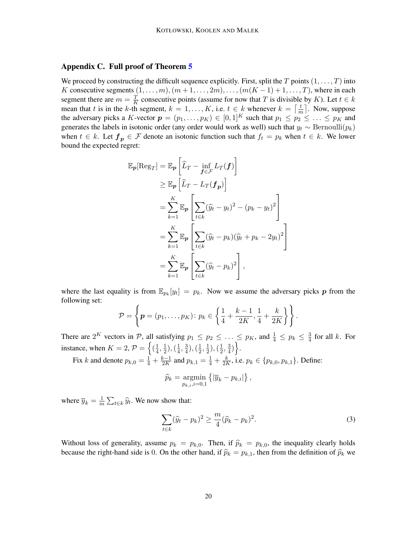# <span id="page-19-0"></span>Appendix C. Full proof of Theorem [5](#page-9-0)

We proceed by constructing the difficult sequence explicitly. First, split the T points  $(1, \ldots, T)$  into K consecutive segments  $(1, \ldots, m), (m+1, \ldots, 2m), \ldots, (m(K-1)+1, \ldots, T)$ , where in each segment there are  $m = \frac{T}{K}$  $\frac{T}{K}$  consecutive points (assume for now that T is divisible by K). Let  $t \in k$ mean that t is in the k-th segment,  $k = 1, \ldots, K$ , i.e.  $t \in k$  whenever  $k = \left[\frac{t}{n}\right]$  $\left\lfloor \frac{t}{m} \right\rfloor$ . Now, suppose the adversary picks a K-vector  $p = (p_1, \ldots, p_K) \in [0, 1]^K$  such that  $p_1 \leq p_2 \leq \ldots \leq p_K$  and generates the labels in isotonic order (any order would work as well) such that  $y_t \sim \text{Bernoulli}(p_k)$ when  $t \in k$ . Let  $f_p \in \mathcal{F}$  denote an isotonic function such that  $f_t = p_k$  when  $t \in k$ . We lower bound the expected regret:

$$
\mathbb{E}_{\boldsymbol{p}}[\text{Reg}_T] = \mathbb{E}_{\boldsymbol{p}} \left[ \widehat{L}_T - \inf_{\boldsymbol{f} \in \mathcal{F}} L_T(\boldsymbol{f}) \right] \n\geq \mathbb{E}_{\boldsymbol{p}} \left[ \widehat{L}_T - L_T(\boldsymbol{f}_{\boldsymbol{p}}) \right] \n= \sum_{k=1}^K \mathbb{E}_{\boldsymbol{p}} \left[ \sum_{t \in k} (\widehat{y}_t - y_t)^2 - (p_k - y_t)^2 \right] \n= \sum_{k=1}^K \mathbb{E}_{\boldsymbol{p}} \left[ \sum_{t \in k} (\widehat{y}_t - p_k)(\widehat{y}_t + p_k - 2y_t)^2 \right] \n= \sum_{k=1}^K \mathbb{E}_{\boldsymbol{p}} \left[ \sum_{t \in k} (\widehat{y}_t - p_k)^2 \right],
$$

where the last equality is from  $\mathbb{E}_{p_k}[y_t] = p_k$ . Now we assume the adversary picks p from the following set:

$$
\mathcal{P} = \left\{ \boldsymbol{p} = (p_1, \ldots, p_K) \colon p_k \in \left\{ \frac{1}{4} + \frac{k-1}{2K}, \frac{1}{4} + \frac{k}{2K} \right\} \right\}.
$$

There are  $2^K$  vectors in P, all satisfying  $p_1 \leq p_2 \leq \ldots \leq p_K$ , and  $\frac{1}{4} \leq p_k \leq \frac{3}{4}$  $\frac{3}{4}$  for all k. For instance, when  $K = 2$ ,  $\mathcal{P} = \left\{ \left( \frac{1}{4} \right)$  $\frac{1}{4}, \frac{1}{2}$  $(\frac{1}{2}), (\frac{1}{4})$  $\frac{1}{4}, \frac{3}{4}$  $(\frac{3}{4}), (\frac{1}{2})$  $\frac{1}{2}, \frac{1}{2}$  $(\frac{1}{2}), (\frac{1}{2})$  $\frac{1}{2}, \frac{3}{4}$  $\frac{3}{4})$ . Fix k and denote  $p_{k,0} = \frac{1}{4} + \frac{k-1}{2K}$  $\frac{k-1}{2K}$  and  $p_{k,1} = \frac{1}{4} + \frac{k}{2F}$  $\frac{k}{2K}$ , i.e.  $p_k \in \{p_{k,0}, p_{k,1}\}$ . Define:

$$
\widehat{p}_k = \operatornamewithlimits{argmin}_{p_{k,i}, i=0,1} \left\{ |\overline{y}_k - p_{k,i}| \right\},\,
$$

where  $\overline{y}_k = \frac{1}{m}$  $\frac{1}{m} \sum_{t \in k} \hat{y}_t$ . We now show that:

<span id="page-19-1"></span>
$$
\sum_{t\in k} (\widehat{y}_t - p_k)^2 \ge \frac{m}{4} (\widehat{p}_k - p_k)^2.
$$
 (3)

Without loss of generality, assume  $p_k = p_{k,0}$ . Then, if  $\hat{p}_k = p_{k,0}$ , the inequality clearly holds because the right-hand side is 0. On the other hand, if  $\hat{p}_k = p_{k,1}$ , then from the definition of  $\hat{p}_k$  we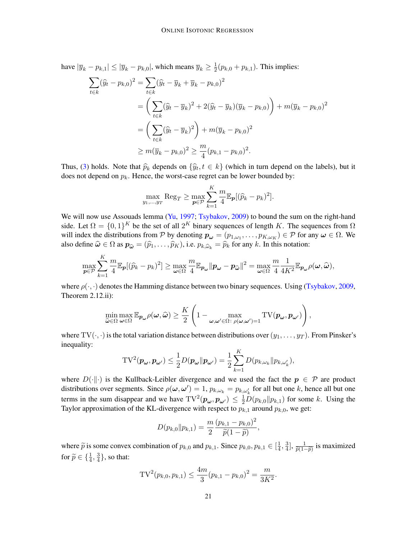have  $|\overline{y}_k - p_{k,1}| \le |\overline{y}_k - p_{k,0}|$ , which means  $\overline{y}_k \ge \frac{1}{2}$  $\frac{1}{2}(p_{k,0}+p_{k,1})$ . This implies:

$$
\sum_{t \in k} (\widehat{y}_t - p_{k,0})^2 = \sum_{t \in k} (\widehat{y}_t - \overline{y}_k + \overline{y}_k - p_{k,0})^2
$$
  
=  $\left( \sum_{t \in k} (\widehat{y}_t - \overline{y}_k)^2 + 2(\widehat{y}_t - \overline{y}_k)(\overline{y}_k - p_{k,0}) \right) + m(\overline{y}_k - p_{k,0})^2$   
=  $\left( \sum_{t \in k} (\widehat{y}_t - \overline{y}_k)^2 \right) + m(\overline{y}_k - p_{k,0})^2$   
 $\geq m(\overline{y}_k - p_{k,0})^2 \geq \frac{m}{4} (p_{k,1} - p_{k,0})^2.$ 

Thus, [\(3\)](#page-19-1) holds. Note that  $\hat{p}_k$  depends on  $\{\hat{y}_t, t \in k\}$  (which in turn depend on the labels), but it does not depend on  $p_k$ . Hence the worst gee recept can be lower bounded by: does not depend on  $p_k$ . Hence, the worst-case regret can be lower bounded by:

$$
\max_{y_1,\dots,y_T} \text{Reg}_T \ge \max_{\boldsymbol{p}\in\mathcal{P}} \sum_{k=1}^K \frac{m}{4} \mathbb{E}_{\boldsymbol{p}} [(\widehat{p}_k - p_k)^2].
$$

We will now use Assouads lemma [\(Yu,](#page-15-15) [1997;](#page-15-15) [Tsybakov,](#page-15-16) [2009\)](#page-15-16) to bound the sum on the right-hand side. Let  $\Omega = \{0,1\}^K$  be the set of all  $2^K$  binary sequences of length K. The sequences from  $\Omega$ will index the distributions from P by denoting  $p_{\omega} = (p_{1,\omega_1}, \dots, p_{K,\omega_K}) \in \mathcal{P}$  for any  $\omega \in \Omega$ . We also define  $\hat{\omega} \in \Omega$  as  $p_{\hat{\omega}} = (\hat{p}_1, \dots, \hat{p}_K)$ , i.e.  $p_{k, \hat{\omega}_k} = \hat{p}_k$  for any k. In this notation:

$$
\max_{\mathbf{p}\in\mathcal{P}}\sum_{k=1}^K\frac{m}{4}\mathbb{E}_{\mathbf{p}}[(\widehat{p}_k-p_k)^2]\geq \max_{\boldsymbol{\omega}\in\Omega}\frac{m}{4}\mathbb{E}_{\mathbf{p}_{\boldsymbol{\omega}}}||\mathbf{p}_{\boldsymbol{\omega}}-\mathbf{p}_{\widehat{\boldsymbol{\omega}}}||^2=\max_{\boldsymbol{\omega}\in\Omega}\frac{m}{4}\frac{1}{4K^2}\mathbb{E}_{\mathbf{p}_{\boldsymbol{\omega}}}\rho(\boldsymbol{\omega},\widehat{\boldsymbol{\omega}}),
$$

where  $\rho(\cdot, \cdot)$  denotes the Hamming distance between two binary sequences. Using [\(Tsybakov,](#page-15-16) [2009,](#page-15-16) Theorem 2.12.ii):

$$
\min_{\widehat{\omega}\in\Omega}\max_{\boldsymbol{\omega}\in\Omega}\mathbb{E}_{\boldsymbol{p}_{\boldsymbol{\omega}}}\rho(\boldsymbol{\omega},\widehat{\boldsymbol{\omega}})\geq\frac{K}{2}\left(1-\max_{\boldsymbol{\omega},\boldsymbol{\omega}'\in\Omega:\ \rho(\boldsymbol{\omega},\boldsymbol{\omega}')=1}\mathrm{TV}(\boldsymbol{p}_{\boldsymbol{\omega}},\boldsymbol{p}_{\boldsymbol{\omega}'})\right),
$$

where  $TV(\cdot, \cdot)$  is the total variation distance between distributions over  $(y_1, \ldots, y_T)$ . From Pinsker's inequality:

$$
\mathrm{TV}^2(\boldsymbol{p}_{\boldsymbol{\omega}}, \boldsymbol{p}_{\boldsymbol{\omega}'} ) \leq \frac{1}{2} D(\boldsymbol{p}_{\boldsymbol{\omega}} \| \boldsymbol{p}_{\boldsymbol{\omega}'} ) = \frac{1}{2} \sum_{k=1}^K D(p_{k,\omega_k} \| p_{k,\omega'_k}),
$$

where  $D(\cdot\|\cdot)$  is the Kullback-Leibler divergence and we used the fact the  $p \in \mathcal{P}$  are product distributions over segments. Since  $\rho(\omega, \omega') = 1$ ,  $p_{k,\omega_k} = p_{k,\omega'_k}$  for all but one k, hence all but one terms in the sum disappear and we have  $TV^2(p_\omega, p_{\omega'}) \leq \frac{1}{2}D(p_{k,0}||p_{k,1})$  for some k. Using the Taylor approximation of the KL-divergence with respect to  $p_{k,1}$  around  $p_{k,0}$ , we get:

$$
D(p_{k,0}||p_{k,1}) = \frac{m}{2} \frac{(p_{k,1} - p_{k,0})^2}{\widetilde{p}(1-\widetilde{p})},
$$

where  $\tilde{p}$  is some convex combination of  $p_{k,0}$  and  $p_{k,1}$ . Since  $p_{k,0}, p_{k,1} \in [\frac{1}{4}, \infty)$  $\frac{1}{4}, \frac{3}{4}$  $\frac{3}{4}$ ,  $\frac{1}{\tilde{p}(1-\frac{1}{2})}$  $\frac{1}{\widetilde{p}(1-\widetilde{p})}$  is maximized for  $\widetilde{p} \in \{\frac{1}{4}, \frac{3}{4}\}$  $\frac{3}{4}$ , so that:

$$
TV^{2}(p_{k,0}, p_{k,1}) \le \frac{4m}{3}(p_{k,1} - p_{k,0})^{2} = \frac{m}{3K^{2}}.
$$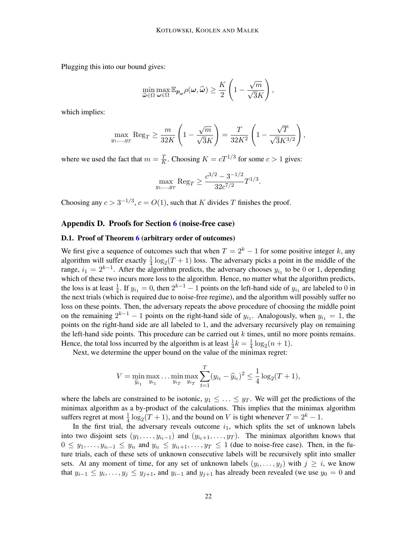Plugging this into our bound gives:

$$
\min_{\widehat{\omega}\in\Omega}\max_{\boldsymbol{\omega}\in\Omega}\mathbb{E}_{\boldsymbol{p}_{\boldsymbol{\omega}}}\rho(\boldsymbol{\omega},\widehat{\boldsymbol{\omega}})\geq\frac{K}{2}\left(1-\frac{\sqrt{m}}{\sqrt{3}K}\right),\,
$$

which implies:

$$
\max_{y_1,...,y_T} \text{Reg}_T \ge \frac{m}{32K} \left( 1 - \frac{\sqrt{m}}{\sqrt{3}K} \right) = \frac{T}{32K^2} \left( 1 - \frac{\sqrt{T}}{\sqrt{3}K^{3/2}} \right),
$$

where we used the fact that  $m = \frac{T}{K}$  $\frac{T}{K}$ . Choosing  $K = cT^{1/3}$  for some  $c > 1$  gives:

$$
\max_{y_1,\dots,y_T} \text{Reg}_T \ge \frac{c^{3/2} - 3^{-1/2}}{32c^{7/2}} T^{1/3}.
$$

Choosing any  $c > 3^{-1/3}$ ,  $c = O(1)$ , such that K divides T finishes the proof.

## <span id="page-21-0"></span>Appendix D. Proofs for Section [6](#page-10-0) (noise-free case)

#### D.1. Proof of Theorem [6](#page-10-1) (arbitrary order of outcomes)

We first give a sequence of outcomes such that when  $T = 2<sup>k</sup> - 1$  for some positive integer k, any algorithm will suffer exactly  $\frac{1}{4} \log_2(T+1)$  loss. The adversary picks a point in the middle of the range,  $i_1 = 2^{k-1}$ . After the algorithm predicts, the adversary chooses  $y_{i_1}$  to be 0 or 1, depending which of these two incurs more loss to the algorithm. Hence, no matter what the algorithm predicts, the loss is at least  $\frac{1}{4}$ . If  $y_{i_1} = 0$ , then  $2^{k-1} - 1$  points on the left-hand side of  $y_{i_1}$  are labeled to 0 in the next trials (which is required due to noise-free regime), and the algorithm will possibly suffer no loss on these points. Then, the adversary repeats the above procedure of choosing the middle point on the remaining  $2^{k-1} - 1$  points on the right-hand side of  $y_{i_1}$ . Analogously, when  $y_{i_1} = 1$ , the points on the right-hand side are all labeled to 1, and the adversary recursively play on remaining the left-hand side points. This procedure can be carried out  $k$  times, until no more points remains. Hence, the total loss incurred by the algorithm is at least  $\frac{1}{4}k = \frac{1}{4}$  $\frac{1}{4} \log_2(n+1)$ .

Next, we determine the upper bound on the value of the minimax regret:

$$
V = \min_{\widehat{y}_{i_1}} \max_{y_{i_1}} \dots \min_{y_{i_T}} \max_{y_{i_T}} \sum_{t=1}^T (y_{i_t} - \widehat{y}_{i_t})^2 \le \frac{1}{4} \log_2(T+1),
$$

where the labels are constrained to be isotonic,  $y_1 \leq \ldots \leq y_T$ . We will get the predictions of the minimax algorithm as a by-product of the calculations. This implies that the minimax algorithm suffers regret at most  $\frac{1}{4} \log_2(T+1)$ , and the bound on V is tight whenever  $T = 2^k - 1$ .

In the first trial, the adversary reveals outcome  $i_1$ , which splits the set of unknown labels into two disjoint sets  $(y_1, \ldots, y_{i_t-1})$  and  $(y_{i_t+1}, \ldots, y_T)$ . The minimax algorithm knows that  $0 \leq y_1, \ldots, y_{i_t-1} \leq y_{i_t}$  and  $y_{i_t} \leq y_{i_t+1}, \ldots, y_T \leq 1$  (due to noise-free case). Then, in the future trials, each of these sets of unknown consecutive labels will be recursively split into smaller sets. At any moment of time, for any set of unknown labels  $(y_i, \ldots, y_j)$  with  $j \geq i$ , we know that  $y_{i-1} \leq y_i, \ldots, y_j \leq y_{j+1}$ , and  $y_{i-1}$  and  $y_{j+1}$  has already been revealed (we use  $y_0 = 0$  and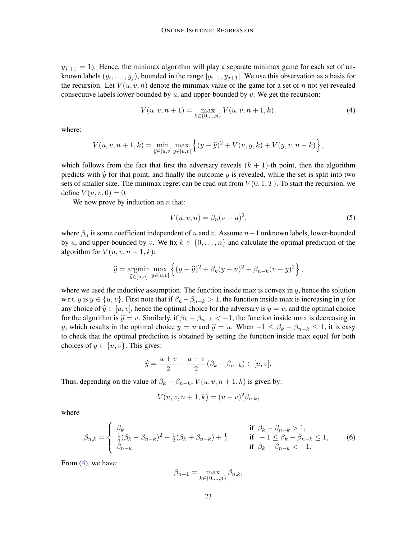$y_{T+1} = 1$ ). Hence, the minimax algorithm will play a separate minimax game for each set of unknown labels  $(y_i, \ldots, y_j)$ , bounded in the range  $[y_{i-1}, y_{j+1}]$ . We use this observation as a basis for the recursion. Let  $V(u, v, n)$  denote the minimax value of the game for a set of n not yet revealed consecutive labels lower-bounded by  $u$ , and upper-bounded by  $v$ . We get the recursion:

<span id="page-22-0"></span>
$$
V(u, v, n+1) = \max_{k \in \{0, \dots, n\}} V(u, v, n+1, k),
$$
\n(4)

where:

$$
V(u, v, n+1, k) = \min_{\widehat{y} \in [u, v]} \max_{y \in [u, v]} \left\{ (y - \widehat{y})^2 + V(u, y, k) + V(y, v, n-k) \right\},\,
$$

which follows from the fact that first the adversary reveals  $(k + 1)$ -th point, then the algorithm predicts with  $\hat{y}$  for that point, and finally the outcome y is revealed, while the set is split into two sets of smaller size. The minimax regret can be read out from  $V(0, 1, T)$ . To start the recursion, we define  $V(u, v, 0) = 0$ .

We now prove by induction on  $n$  that:

<span id="page-22-1"></span>
$$
V(u, v, n) = \beta_n (v - u)^2,
$$
\n<sup>(5)</sup>

where  $\beta_n$  is some coefficient independent of u and v. Assume  $n+1$  unknown labels, lower-bounded by u, and upper-bounded by v. We fix  $k \in \{0, \ldots, n\}$  and calculate the optimal prediction of the algorithm for  $V(u, v, n+1, k)$ :

$$
\widehat{y} = \underset{\widehat{y} \in [u,v]}{\text{argmin}} \max_{y \in [u,v]} \left\{ (y - \widehat{y})^2 + \beta_k (y - u)^2 + \beta_{n-k} (v - y)^2 \right\},\,
$$

where we used the inductive assumption. The function inside max is convex in  $y$ , hence the solution w.r.t. y is  $y \in \{u, v\}$ . First note that if  $\beta_k - \beta_{n-k} > 1$ , the function inside max is increasing in y for any choice of  $\hat{y} \in [u, v]$ , hence the optimal choice for the adversary is  $y = v$ , and the optimal choice for the algorithm is  $\hat{y} = v$ . Similarly, if  $\beta_k - \beta_{n-k} < -1$ , the function inside max is decreasing in y, which results in the optimal choice  $y = u$  and  $\hat{y} = u$ . When  $-1 \leq \beta_k - \beta_{n-k} \leq 1$ , it is easy to check that the optimal prediction is obtained by setting the function inside max equal for both choices of  $y \in \{u, v\}$ . This gives:

$$
\widehat{y} = \frac{u+v}{2} + \frac{u-v}{2} (\beta_k - \beta_{n-k}) \in [u, v].
$$

Thus, depending on the value of  $\beta_k - \beta_{n-k}$ ,  $V(u, v, n+1, k)$  is given by:

$$
V(u, v, n + 1, k) = (u - v)^2 \beta_{n,k},
$$

where

<span id="page-22-2"></span>
$$
\beta_{n,k} = \begin{cases} \n\beta_k & \text{if } \beta_k - \beta_{n-k} > 1, \\ \n\frac{1}{4}(\beta_k - \beta_{n-k})^2 + \frac{1}{2}(\beta_k + \beta_{n-k}) + \frac{1}{4} & \text{if } -1 \le \beta_k - \beta_{n-k} \le 1, \\ \n\beta_{n-k} & \text{if } \beta_k - \beta_{n-k} < -1. \n\end{cases} \tag{6}
$$

From [\(4\)](#page-22-0), we have:

$$
\beta_{n+1} = \max_{k \in \{0, \dots, n\}} \beta_{n,k},
$$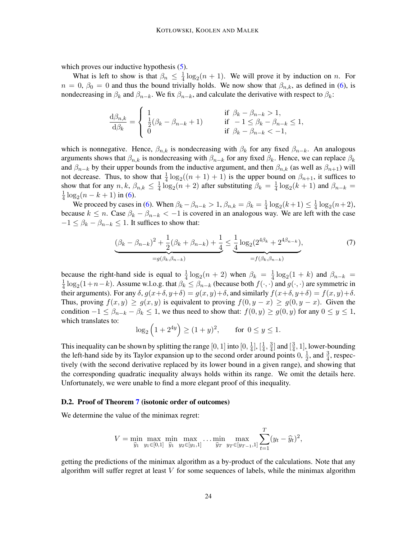which proves our inductive hypothesis  $(5)$ .

What is left to show is that  $\beta_n \leq \frac{1}{4}$  $\frac{1}{4} \log_2(n+1)$ . We will prove it by induction on *n*. For  $n = 0$ ,  $\beta_0 = 0$  and thus the bound trivially holds. We now show that  $\beta_{n,k}$ , as defined in [\(6\)](#page-22-2), is nondecreasing in  $\beta_k$  and  $\beta_{n-k}$ . We fix  $\beta_{n-k}$ , and calculate the derivative with respect to  $\beta_k$ :

$$
\frac{\mathrm{d}\beta_{n,k}}{\mathrm{d}\beta_k} = \begin{cases} 1 & \text{if } \beta_k - \beta_{n-k} > 1, \\ \frac{1}{2}(\beta_k - \beta_{n-k} + 1) & \text{if } -1 \le \beta_k - \beta_{n-k} \le 1, \\ 0 & \text{if } \beta_k - \beta_{n-k} < -1, \end{cases}
$$

which is nonnegative. Hence,  $\beta_{n,k}$  is nondecreasing with  $\beta_k$  for any fixed  $\beta_{n-k}$ . An analogous arguments shows that  $\beta_{n,k}$  is nondecreasing with  $\beta_{n-k}$  for any fixed  $\beta_k$ . Hence, we can replace  $\beta_k$ and  $\beta_{n-k}$  by their upper bounds from the inductive argument, and then  $\beta_{n,k}$  (as well as  $\beta_{n+1}$ ) will not decrease. Thus, to show that  $\frac{1}{4} \log_2((n+1)+1)$  is the upper bound on  $\beta_{n+1}$ , it suffices to show that for any  $n, k, \beta_{n,k} \leq \frac{1}{4}$  $\frac{1}{4} \log_2(n+2)$  after substituting  $\beta_k = \frac{1}{4}$  $\frac{1}{4} \log_2(k+1)$  and  $\beta_{n-k} =$ 1  $\frac{1}{4} \log_2(n - k + 1)$  in [\(6\)](#page-22-2).

We proceed by cases in [\(6\)](#page-22-2). When  $\beta_k - \beta_{n-k} > 1$ ,  $\beta_{n,k} = \beta_k = \frac{1}{4}$  $\frac{1}{4} \log_2(k+1) \leq \frac{1}{4}$  $\frac{1}{4} \log_2(n+2)$ , because  $k \leq n$ . Case  $\beta_k - \beta_{n-k} < -1$  is covered in an analogous way. We are left with the case  $-1 \leq \beta_k - \beta_{n-k} \leq 1$ . It suffices to show that:

$$
\underbrace{(\beta_k - \beta_{n-k})^2 + \frac{1}{2}(\beta_k + \beta_{n-k}) + \frac{1}{4}}_{=g(\beta_k, \beta_{n-k})} \leq \underbrace{\frac{1}{4} \log_2(2^{4\beta_k} + 2^{4\beta_{n-k}})}_{=f(\beta_k, \beta_{n-k})},
$$
\n(7)

because the right-hand side is equal to  $\frac{1}{4} \log_2(n+2)$  when  $\beta_k = \frac{1}{4}$  $\frac{1}{4} \log_2(1+k)$  and  $\beta_{n-k} =$ 1  $\frac{1}{4} \log_2(1+n-k)$ . Assume w.l.o.g. that  $\beta_k \leq \beta_{n-k}$  (because both  $f(\cdot, \cdot)$  and  $g(\cdot, \cdot)$  are symmetric in their arguments). For any  $\delta$ ,  $g(x+\delta, y+\delta) = g(x, y)+\delta$ , and similarly  $f(x+\delta, y+\delta) = f(x, y)+\delta$ . Thus, proving  $f(x, y) \ge g(x, y)$  is equivalent to proving  $f(0, y - x) \ge g(0, y - x)$ . Given the condition  $-1 \leq \beta_{n-k} - \beta_k \leq 1$ , we thus need to show that:  $f(0, y) \geq g(0, y)$  for any  $0 \leq y \leq 1$ , which translates to:

$$
\log_2 (1 + 2^{4y}) \ge (1 + y)^2
$$
, for  $0 \le y \le 1$ .

This inequality can be shown by splitting the range [0, 1] into [0,  $\frac{1}{4}$  $\frac{1}{4}$ ,  $[\frac{1}{4}]$  $\frac{1}{4}$ ,  $\frac{3}{4}$  $\frac{3}{4}$ ] and  $\left[\frac{3}{4}\right]$  $\frac{3}{4}$ , 1], lower-bounding the left-hand side by its Taylor expansion up to the second order around points  $0, \frac{1}{2}$  $\frac{1}{2}$ , and  $\frac{3}{4}$ , respectively (with the second derivative replaced by its lower bound in a given range), and showing that the corresponding quadratic inequality always holds within its range. We omit the details here. Unfortunately, we were unable to find a more elegant proof of this inequality.

#### D.2. Proof of Theorem [7](#page-10-2) (isotonic order of outcomes)

We determine the value of the minimax regret:

$$
V = \min_{\widehat{y}_1} \max_{y_1 \in [0,1]} \min_{\widehat{y}_1} \max_{y_2 \in [y_1,1]} \dots \min_{\widehat{y}_T} \max_{y_T \in [y_{T-1},1]} \sum_{t=1}^T (y_t - \widehat{y}_t)^2,
$$

getting the predictions of the minimax algorithm as a by-product of the calculations. Note that any algorithm will suffer regret at least  $V$  for some sequences of labels, while the minimax algorithm